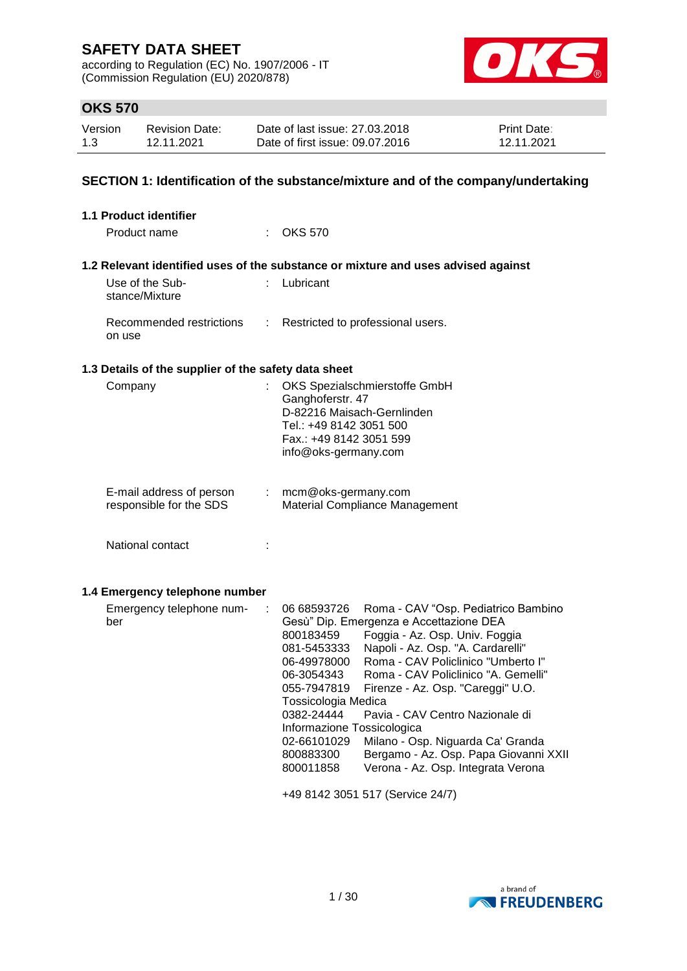according to Regulation (EC) No. 1907/2006 - IT (Commission Regulation (EU) 2020/878)



### **OKS 570**

| Version | <b>Revision Date:</b> | Date of last issue: 27,03,2018  | <b>Print Date:</b> |
|---------|-----------------------|---------------------------------|--------------------|
| 1.3     | 12.11.2021            | Date of first issue: 09.07.2016 | 12.11.2021         |

### **SECTION 1: Identification of the substance/mixture and of the company/undertaking**

| 1.1 Product identifier                               |                                                                                                                                                                                                                                                                                                                                                                                                                                                                                                                                                                                                                                                                       |
|------------------------------------------------------|-----------------------------------------------------------------------------------------------------------------------------------------------------------------------------------------------------------------------------------------------------------------------------------------------------------------------------------------------------------------------------------------------------------------------------------------------------------------------------------------------------------------------------------------------------------------------------------------------------------------------------------------------------------------------|
| Product name                                         | $:$ OKS 570                                                                                                                                                                                                                                                                                                                                                                                                                                                                                                                                                                                                                                                           |
|                                                      | 1.2 Relevant identified uses of the substance or mixture and uses advised against                                                                                                                                                                                                                                                                                                                                                                                                                                                                                                                                                                                     |
| Use of the Sub-<br>t.<br>stance/Mixture              | Lubricant                                                                                                                                                                                                                                                                                                                                                                                                                                                                                                                                                                                                                                                             |
| Recommended restrictions<br>÷<br>on use              | Restricted to professional users.                                                                                                                                                                                                                                                                                                                                                                                                                                                                                                                                                                                                                                     |
| 1.3 Details of the supplier of the safety data sheet |                                                                                                                                                                                                                                                                                                                                                                                                                                                                                                                                                                                                                                                                       |
| Company<br>÷                                         | OKS Spezialschmierstoffe GmbH<br>Ganghoferstr. 47<br>D-82216 Maisach-Gernlinden<br>Tel.: +49 8142 3051 500<br>Fax.: +49 8142 3051 599<br>info@oks-germany.com                                                                                                                                                                                                                                                                                                                                                                                                                                                                                                         |
| E-mail address of person<br>responsible for the SDS  | mcm@oks-germany.com<br>Material Compliance Management                                                                                                                                                                                                                                                                                                                                                                                                                                                                                                                                                                                                                 |
| National contact<br>÷                                |                                                                                                                                                                                                                                                                                                                                                                                                                                                                                                                                                                                                                                                                       |
| 1.4 Emergency telephone number                       |                                                                                                                                                                                                                                                                                                                                                                                                                                                                                                                                                                                                                                                                       |
| Emergency telephone num-<br>÷<br>ber                 | 06 68593726<br>Roma - CAV "Osp. Pediatrico Bambino<br>Gesù" Dip. Emergenza e Accettazione DEA<br>800183459<br>Foggia - Az. Osp. Univ. Foggia<br>Napoli - Az. Osp. "A. Cardarelli"<br>081-5453333<br>Roma - CAV Policlinico "Umberto I"<br>06-49978000<br>Roma - CAV Policlinico "A. Gemelli"<br>06-3054343<br>055-7947819<br>Firenze - Az. Osp. "Careggi" U.O.<br>Tossicologia Medica<br>0382-24444<br>Pavia - CAV Centro Nazionale di<br>Informazione Tossicologica<br>Milano - Osp. Niguarda Ca' Granda<br>02-66101029<br>Bergamo - Az. Osp. Papa Giovanni XXII<br>800883300<br>Verona - Az. Osp. Integrata Verona<br>800011858<br>+49 8142 3051 517 (Service 24/7) |

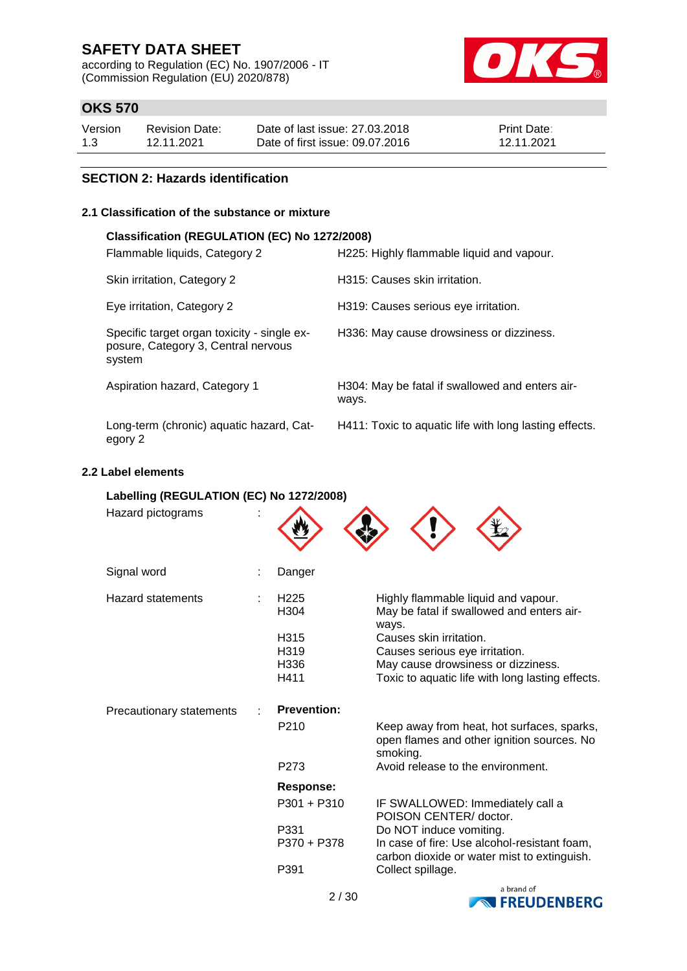according to Regulation (EC) No. 1907/2006 - IT (Commission Regulation (EU) 2020/878)



### **OKS 570**

| Version | <b>Revision Date:</b> | Date of last issue: 27,03,2018  | <b>Print Date:</b> |
|---------|-----------------------|---------------------------------|--------------------|
| 1.3     | 12.11.2021            | Date of first issue: 09.07.2016 | 12.11.2021         |

### **SECTION 2: Hazards identification**

### **2.1 Classification of the substance or mixture**

#### **Classification (REGULATION (EC) No 1272/2008)**

| Flammable liquids, Category 2                                                                | H225: Highly flammable liquid and vapour.                |
|----------------------------------------------------------------------------------------------|----------------------------------------------------------|
| Skin irritation, Category 2                                                                  | H315: Causes skin irritation.                            |
| Eye irritation, Category 2                                                                   | H319: Causes serious eye irritation.                     |
| Specific target organ toxicity - single ex-<br>posure, Category 3, Central nervous<br>system | H336: May cause drowsiness or dizziness.                 |
| Aspiration hazard, Category 1                                                                | H304: May be fatal if swallowed and enters air-<br>ways. |
| Long-term (chronic) aquatic hazard, Cat-<br>egory 2                                          | H411: Toxic to aquatic life with long lasting effects.   |

#### **2.2 Label elements**

| Labelling (REGULATION (EC) No 1272/2008) |                                      |                                                                                                      |
|------------------------------------------|--------------------------------------|------------------------------------------------------------------------------------------------------|
| Hazard pictograms                        |                                      |                                                                                                      |
| Signal word                              | Danger                               |                                                                                                      |
| <b>Hazard statements</b>                 | H <sub>225</sub><br>H <sub>304</sub> | Highly flammable liquid and vapour.<br>May be fatal if swallowed and enters air-<br>ways.            |
|                                          | H315                                 | Causes skin irritation.                                                                              |
|                                          | H319                                 | Causes serious eye irritation.                                                                       |
|                                          | H336<br>H411                         | May cause drowsiness or dizziness.                                                                   |
|                                          |                                      | Toxic to aquatic life with long lasting effects.                                                     |
| Precautionary statements                 | <b>Prevention:</b>                   |                                                                                                      |
|                                          | P210                                 | Keep away from heat, hot surfaces, sparks,<br>open flames and other ignition sources. No<br>smoking. |
|                                          | P <sub>273</sub>                     | Avoid release to the environment.                                                                    |
|                                          | <b>Response:</b>                     |                                                                                                      |
|                                          | $P301 + P310$                        | IF SWALLOWED: Immediately call a<br>POISON CENTER/ doctor.                                           |
|                                          | P331                                 | Do NOT induce vomiting.                                                                              |
|                                          | P370 + P378                          | In case of fire: Use alcohol-resistant foam,<br>carbon dioxide or water mist to extinguish.          |
|                                          | P391                                 | Collect spillage.                                                                                    |
|                                          |                                      | a brand of                                                                                           |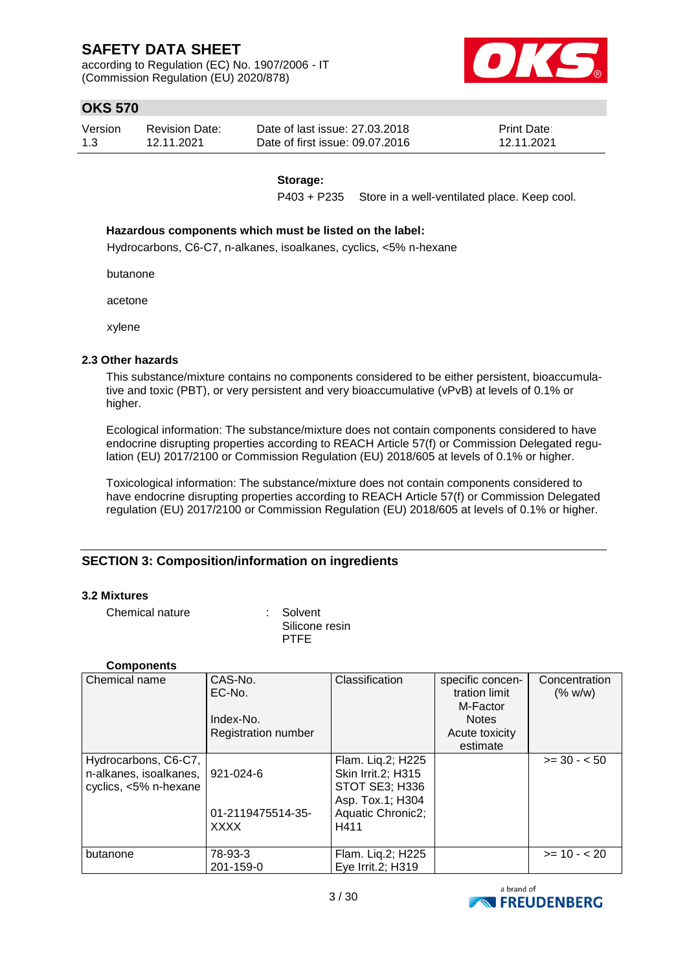according to Regulation (EC) No. 1907/2006 - IT (Commission Regulation (EU) 2020/878)



### **OKS 570**

| Version | <b>Revision Date:</b> | Date of last issue: 27,03,2018  | <b>Print Date:</b> |
|---------|-----------------------|---------------------------------|--------------------|
| 1.3     | 12.11.2021            | Date of first issue: 09.07.2016 | 12.11.2021         |

#### **Storage:**

P403 + P235 Store in a well-ventilated place. Keep cool.

#### **Hazardous components which must be listed on the label:**

Hydrocarbons, C6-C7, n-alkanes, isoalkanes, cyclics, <5% n-hexane

butanone

acetone

xylene

#### **2.3 Other hazards**

This substance/mixture contains no components considered to be either persistent, bioaccumulative and toxic (PBT), or very persistent and very bioaccumulative (vPvB) at levels of 0.1% or higher.

Ecological information: The substance/mixture does not contain components considered to have endocrine disrupting properties according to REACH Article 57(f) or Commission Delegated regulation (EU) 2017/2100 or Commission Regulation (EU) 2018/605 at levels of 0.1% or higher.

Toxicological information: The substance/mixture does not contain components considered to have endocrine disrupting properties according to REACH Article 57(f) or Commission Delegated regulation (EU) 2017/2100 or Commission Regulation (EU) 2018/605 at levels of 0.1% or higher.

### **SECTION 3: Composition/information on ingredients**

#### **3.2 Mixtures**

Chemical nature : Solvent

Silicone resin PTFE

#### **Components**

| Chemical name                                                           | CAS-No.<br>EC-No.<br>Index-No.<br>Registration number | Classification                                                                                             | specific concen-<br>tration limit<br>M-Factor<br><b>Notes</b><br>Acute toxicity<br>estimate | Concentration<br>(% w/w) |
|-------------------------------------------------------------------------|-------------------------------------------------------|------------------------------------------------------------------------------------------------------------|---------------------------------------------------------------------------------------------|--------------------------|
| Hydrocarbons, C6-C7,<br>n-alkanes, isoalkanes,<br>cyclics, <5% n-hexane | 921-024-6<br>01-2119475514-35-<br><b>XXXX</b>         | Flam. Lig.2; H225<br>Skin Irrit.2; H315<br>STOT SE3; H336<br>Asp. Tox.1; H304<br>Aquatic Chronic2;<br>H411 |                                                                                             | $>= 30 - 50$             |
| butanone                                                                | 78-93-3<br>201-159-0                                  | Flam. Liq.2; H225<br>Eye Irrit.2; H319                                                                     |                                                                                             | $>= 10 - 20$             |

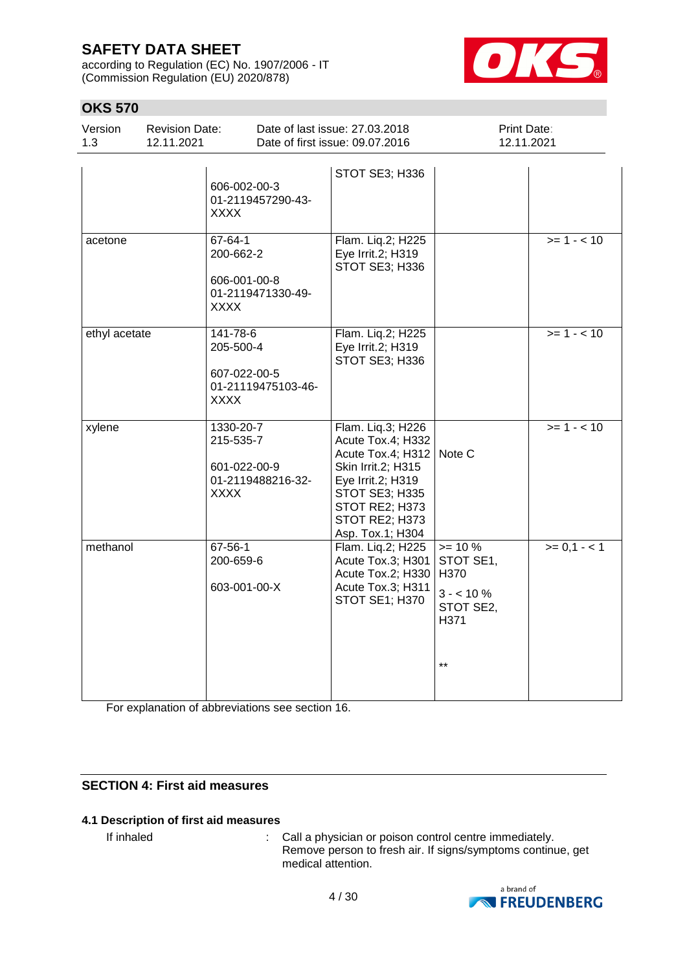according to Regulation (EC) No. 1907/2006 - IT (Commission Regulation (EU) 2020/878)



### **OKS 570**

| Version | <b>Revision Date:</b> | Date of last issue: 27,03,2018  | <b>Print Date:</b> |  |
|---------|-----------------------|---------------------------------|--------------------|--|
| 1.3     | 12.11.2021            | Date of first issue: 09.07.2016 | 12.11.2021         |  |
|         |                       | STOT SE3; H336                  |                    |  |

|               | 606-002-00-3<br>01-2119457290-43-<br><b>XXXX</b>                           | STOT SE3; H336                                                                                                                                                                            |                                                                            |               |
|---------------|----------------------------------------------------------------------------|-------------------------------------------------------------------------------------------------------------------------------------------------------------------------------------------|----------------------------------------------------------------------------|---------------|
| acetone       | 67-64-1<br>200-662-2<br>606-001-00-8<br>01-2119471330-49-<br><b>XXXX</b>   | Flam. Liq.2; H225<br>Eye Irrit.2; H319<br>STOT SE3; H336                                                                                                                                  |                                                                            | $>= 1 - 10$   |
| ethyl acetate | 141-78-6<br>205-500-4<br>607-022-00-5<br>01-21119475103-46-<br><b>XXXX</b> | Flam. Lig.2; H225<br>Eye Irrit.2; H319<br>STOT SE3; H336                                                                                                                                  |                                                                            | $>= 1 - 10$   |
| xylene        | 1330-20-7<br>215-535-7<br>601-022-00-9<br>01-2119488216-32-<br><b>XXXX</b> | Flam. Liq.3; H226<br>Acute Tox.4; H332<br>Acute Tox.4; H312   Note C<br>Skin Irrit.2; H315<br>Eye Irrit.2; H319<br>STOT SE3; H335<br>STOT RE2; H373<br>STOT RE2; H373<br>Asp. Tox.1; H304 |                                                                            | $>= 1 - 10$   |
| methanol      | 67-56-1<br>200-659-6<br>603-001-00-X                                       | Flam. Liq.2; H225<br>Acute Tox.3; H301<br>Acute Tox.2; H330<br>Acute Tox.3; H311<br>STOT SE1; H370                                                                                        | $>= 10 %$<br>STOT SE1,<br>H370<br>$3 - 10\%$<br>STOT SE2,<br>H371<br>$***$ | $>= 0, 1 - 1$ |

For explanation of abbreviations see section 16.

### **SECTION 4: First aid measures**

### **4.1 Description of first aid measures**

If inhaled  $\qquad \qquad : \quad$  Call a physician or poison control centre immediately. Remove person to fresh air. If signs/symptoms continue, get medical attention.

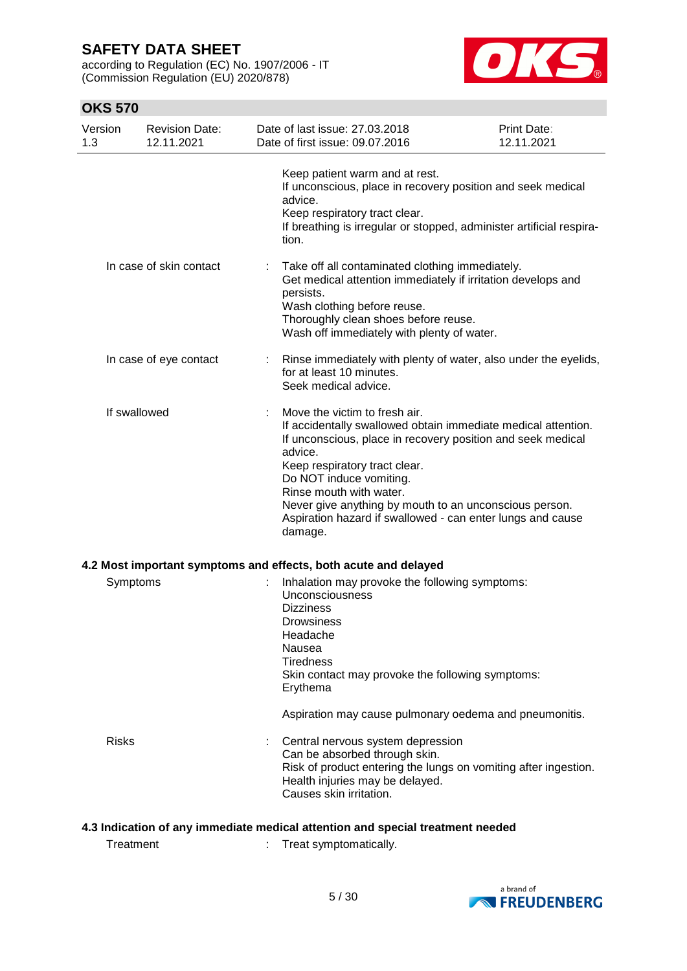according to Regulation (EC) No. 1907/2006 - IT (Commission Regulation (EU) 2020/878)



### **OKS 570**

| Version<br>1.3 | <b>Revision Date:</b><br>12.11.2021 | Date of last issue: 27.03.2018<br>Date of first issue: 09.07.2016                                                                                                                                                                                                                                                                                                                                  | <b>Print Date:</b><br>12.11.2021 |
|----------------|-------------------------------------|----------------------------------------------------------------------------------------------------------------------------------------------------------------------------------------------------------------------------------------------------------------------------------------------------------------------------------------------------------------------------------------------------|----------------------------------|
|                |                                     | Keep patient warm and at rest.<br>If unconscious, place in recovery position and seek medical<br>advice.<br>Keep respiratory tract clear.<br>If breathing is irregular or stopped, administer artificial respira-<br>tion.                                                                                                                                                                         |                                  |
|                | In case of skin contact             | Take off all contaminated clothing immediately.<br>Get medical attention immediately if irritation develops and<br>persists.<br>Wash clothing before reuse.<br>Thoroughly clean shoes before reuse.<br>Wash off immediately with plenty of water.                                                                                                                                                  |                                  |
|                | In case of eye contact              | Rinse immediately with plenty of water, also under the eyelids,<br>for at least 10 minutes.<br>Seek medical advice.                                                                                                                                                                                                                                                                                |                                  |
| If swallowed   |                                     | Move the victim to fresh air.<br>If accidentally swallowed obtain immediate medical attention.<br>If unconscious, place in recovery position and seek medical<br>advice.<br>Keep respiratory tract clear.<br>Do NOT induce vomiting.<br>Rinse mouth with water.<br>Never give anything by mouth to an unconscious person.<br>Aspiration hazard if swallowed - can enter lungs and cause<br>damage. |                                  |
|                |                                     | 4.2 Most important symptoms and effects, both acute and delayed                                                                                                                                                                                                                                                                                                                                    |                                  |
| Symptoms       |                                     | Inhalation may provoke the following symptoms:<br>Unconsciousness<br><b>Dizziness</b><br><b>Drowsiness</b><br>Headache<br>Nausea<br><b>Tiredness</b><br>Skin contact may provoke the following symptoms:<br>Erythema                                                                                                                                                                               |                                  |
|                |                                     | Aspiration may cause pulmonary oedema and pneumonitis.                                                                                                                                                                                                                                                                                                                                             |                                  |
| <b>Risks</b>   |                                     | Central nervous system depression<br>Can be absorbed through skin.<br>Risk of product entering the lungs on vomiting after ingestion.<br>Health injuries may be delayed.<br>Causes skin irritation.                                                                                                                                                                                                |                                  |

### **4.3 Indication of any immediate medical attention and special treatment needed**

Treatment : Treat symptomatically.

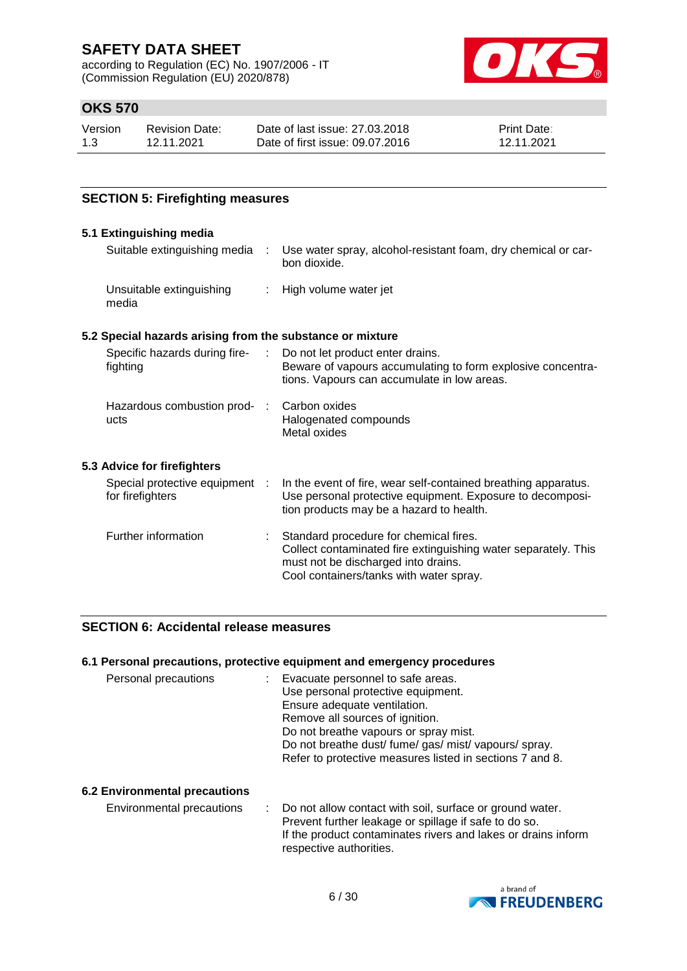according to Regulation (EC) No. 1907/2006 - IT (Commission Regulation (EU) 2020/878)



### **OKS 570**

| Version | Revision Date: | Date of last issue: 27,03,2018  | <b>Print Date:</b> |
|---------|----------------|---------------------------------|--------------------|
| 1.3     | 12.11.2021     | Date of first issue: 09.07.2016 | 12.11.2021         |

### **SECTION 5: Firefighting measures**

#### **5.1 Extinguishing media** Suitable extinguishing media : Use water spray, alcohol-resistant foam, dry chemical or carbon dioxide. Unsuitable extinguishing media : High volume water jet **5.2 Special hazards arising from the substance or mixture** Specific hazards during firefighting : Do not let product enter drains. Beware of vapours accumulating to form explosive concentrations. Vapours can accumulate in low areas. Hazardous combustion prod- : ucts Carbon oxides Halogenated compounds Metal oxides **5.3 Advice for firefighters** Special protective equipment : for firefighters : In the event of fire, wear self-contained breathing apparatus. Use personal protective equipment. Exposure to decomposition products may be a hazard to health. Further information : Standard procedure for chemical fires. Collect contaminated fire extinguishing water separately. This must not be discharged into drains. Cool containers/tanks with water spray.

### **SECTION 6: Accidental release measures**

#### **6.1 Personal precautions, protective equipment and emergency procedures**

| Personal precautions | : Evacuate personnel to safe areas.                      |
|----------------------|----------------------------------------------------------|
|                      | Use personal protective equipment.                       |
|                      | Ensure adequate ventilation.                             |
|                      | Remove all sources of ignition.                          |
|                      | Do not breathe vapours or spray mist.                    |
|                      | Do not breathe dust/ fume/ gas/ mist/ vapours/ spray.    |
|                      | Refer to protective measures listed in sections 7 and 8. |

#### **6.2 Environmental precautions**

Environmental precautions : Do not allow contact with soil, surface or ground water. Prevent further leakage or spillage if safe to do so. If the product contaminates rivers and lakes or drains inform respective authorities.

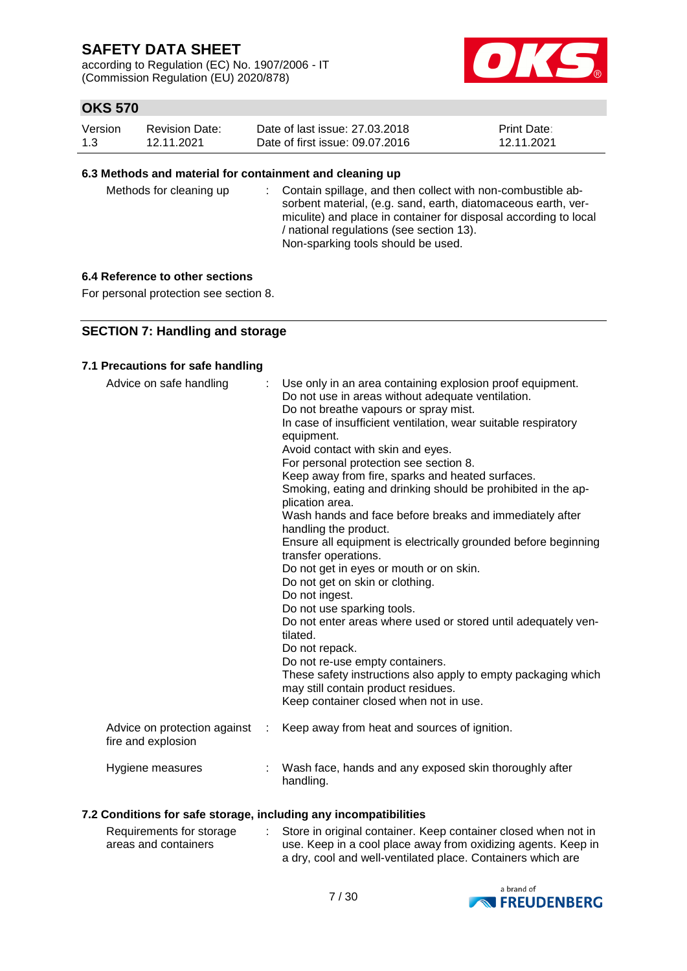according to Regulation (EC) No. 1907/2006 - IT (Commission Regulation (EU) 2020/878)



### **OKS 570**

| Version | <b>Revision Date:</b> | Date of last issue: 27,03,2018  | <b>Print Date:</b> |
|---------|-----------------------|---------------------------------|--------------------|
| 1.3     | 12.11.2021            | Date of first issue: 09.07.2016 | 12.11.2021         |

#### **6.3 Methods and material for containment and cleaning up**

| Methods for cleaning up |  | : Contain spillage, and then collect with non-combustible ab-<br>sorbent material, (e.g. sand, earth, diatomaceous earth, ver-<br>miculite) and place in container for disposal according to local<br>/ national regulations (see section 13).<br>Non-sparking tools should be used. |
|-------------------------|--|--------------------------------------------------------------------------------------------------------------------------------------------------------------------------------------------------------------------------------------------------------------------------------------|
|-------------------------|--|--------------------------------------------------------------------------------------------------------------------------------------------------------------------------------------------------------------------------------------------------------------------------------------|

### **6.4 Reference to other sections**

For personal protection see section 8.

### **SECTION 7: Handling and storage**

#### **7.1 Precautions for safe handling**

| Advice on safe handling                            |   | Use only in an area containing explosion proof equipment.<br>Do not use in areas without adequate ventilation.<br>Do not breathe vapours or spray mist.<br>In case of insufficient ventilation, wear suitable respiratory<br>equipment.<br>Avoid contact with skin and eyes.<br>For personal protection see section 8.<br>Keep away from fire, sparks and heated surfaces.<br>Smoking, eating and drinking should be prohibited in the ap-<br>plication area.<br>Wash hands and face before breaks and immediately after<br>handling the product.<br>Ensure all equipment is electrically grounded before beginning<br>transfer operations.<br>Do not get in eyes or mouth or on skin.<br>Do not get on skin or clothing.<br>Do not ingest.<br>Do not use sparking tools.<br>Do not enter areas where used or stored until adequately ven-<br>tilated.<br>Do not repack.<br>Do not re-use empty containers.<br>These safety instructions also apply to empty packaging which<br>may still contain product residues.<br>Keep container closed when not in use. |
|----------------------------------------------------|---|---------------------------------------------------------------------------------------------------------------------------------------------------------------------------------------------------------------------------------------------------------------------------------------------------------------------------------------------------------------------------------------------------------------------------------------------------------------------------------------------------------------------------------------------------------------------------------------------------------------------------------------------------------------------------------------------------------------------------------------------------------------------------------------------------------------------------------------------------------------------------------------------------------------------------------------------------------------------------------------------------------------------------------------------------------------|
| Advice on protection against<br>fire and explosion | ÷ | Keep away from heat and sources of ignition.                                                                                                                                                                                                                                                                                                                                                                                                                                                                                                                                                                                                                                                                                                                                                                                                                                                                                                                                                                                                                  |
| Hygiene measures                                   |   | Wash face, hands and any exposed skin thoroughly after<br>handling.                                                                                                                                                                                                                                                                                                                                                                                                                                                                                                                                                                                                                                                                                                                                                                                                                                                                                                                                                                                           |

### **7.2 Conditions for safe storage, including any incompatibilities**

| Requirements for storage | Store in original container. Keep container closed when not in |
|--------------------------|----------------------------------------------------------------|
| areas and containers     | use. Keep in a cool place away from oxidizing agents. Keep in  |
|                          | a dry, cool and well-ventilated place. Containers which are    |

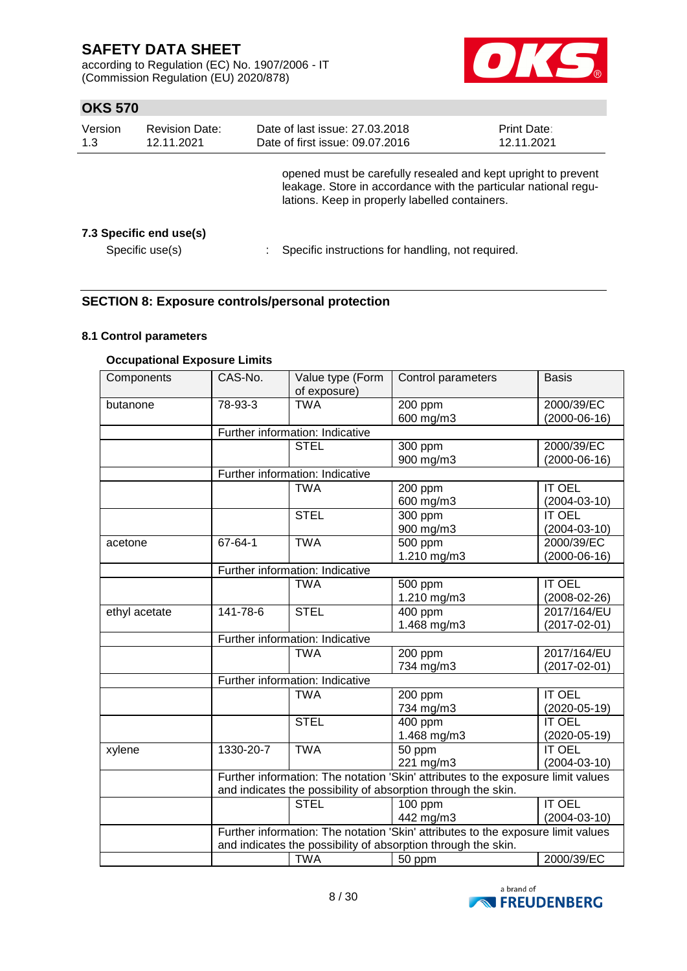according to Regulation (EC) No. 1907/2006 - IT (Commission Regulation (EU) 2020/878)



### **OKS 570**

| Version<br>1.3 | <b>Revision Date:</b><br>12.11.2021        | Date of last issue: 27.03.2018<br>Date of first issue: 09.07.2016                                                                                                                  | Print Date:<br>12.11.2021 |
|----------------|--------------------------------------------|------------------------------------------------------------------------------------------------------------------------------------------------------------------------------------|---------------------------|
|                |                                            | opened must be carefully resealed and kept upright to prevent<br>leakage. Store in accordance with the particular national regu-<br>lations. Keep in properly labelled containers. |                           |
|                | 7.3 Specific end use(s)<br>Specific use(s) | Specific instructions for handling, not required.                                                                                                                                  |                           |

### **SECTION 8: Exposure controls/personal protection**

### **8.1 Control parameters**

### **Occupational Exposure Limits**

| Components    | CAS-No.   | Value type (Form<br>of exposure)                              | Control parameters                                                               | <b>Basis</b>       |  |  |
|---------------|-----------|---------------------------------------------------------------|----------------------------------------------------------------------------------|--------------------|--|--|
| butanone      | 78-93-3   | <b>TWA</b>                                                    | 200 ppm                                                                          | 2000/39/EC         |  |  |
|               |           |                                                               | 600 mg/m3                                                                        | $(2000-06-16)$     |  |  |
|               |           | Further information: Indicative                               |                                                                                  |                    |  |  |
|               |           | <b>STEL</b>                                                   | 300 ppm                                                                          | 2000/39/EC         |  |  |
|               |           |                                                               | 900 mg/m3                                                                        | $(2000-06-16)$     |  |  |
|               |           | Further information: Indicative                               |                                                                                  |                    |  |  |
|               |           | <b>TWA</b>                                                    | 200 ppm                                                                          | <b>IT OEL</b>      |  |  |
|               |           |                                                               | 600 mg/m3                                                                        | $(2004 - 03 - 10)$ |  |  |
|               |           | <b>STEL</b>                                                   | 300 ppm                                                                          | <b>IT OEL</b>      |  |  |
|               |           |                                                               | 900 mg/m3                                                                        | $(2004 - 03 - 10)$ |  |  |
| acetone       | 67-64-1   | <b>TWA</b>                                                    | 500 ppm                                                                          | 2000/39/EC         |  |  |
|               |           |                                                               | 1.210 mg/m3                                                                      | $(2000-06-16)$     |  |  |
|               |           | Further information: Indicative                               |                                                                                  |                    |  |  |
|               |           | <b>TWA</b>                                                    | 500 ppm                                                                          | <b>IT OEL</b>      |  |  |
|               |           |                                                               | 1.210 mg/m3                                                                      | $(2008-02-26)$     |  |  |
| ethyl acetate | 141-78-6  | <b>STEL</b>                                                   | 400 ppm                                                                          | 2017/164/EU        |  |  |
|               |           |                                                               | 1.468 mg/m3                                                                      | $(2017 - 02 - 01)$ |  |  |
|               |           | Further information: Indicative                               |                                                                                  |                    |  |  |
|               |           | <b>TWA</b>                                                    | 200 ppm                                                                          | 2017/164/EU        |  |  |
|               |           |                                                               | 734 mg/m3                                                                        | $(2017 - 02 - 01)$ |  |  |
|               |           | Further information: Indicative                               |                                                                                  |                    |  |  |
|               |           | <b>TWA</b>                                                    | 200 ppm                                                                          | <b>IT OEL</b>      |  |  |
|               |           |                                                               | 734 mg/m3                                                                        | $(2020 - 05 - 19)$ |  |  |
|               |           | <b>STEL</b>                                                   | $\overline{4}00$ ppm                                                             | <b>IT OEL</b>      |  |  |
|               |           |                                                               | 1.468 mg/m3                                                                      | $(2020 - 05 - 19)$ |  |  |
| xylene        | 1330-20-7 | <b>TWA</b>                                                    | 50 ppm                                                                           | <b>IT OEL</b>      |  |  |
|               |           |                                                               | 221 mg/m3                                                                        | $(2004 - 03 - 10)$ |  |  |
|               |           |                                                               | Further information: The notation 'Skin' attributes to the exposure limit values |                    |  |  |
|               |           | and indicates the possibility of absorption through the skin. |                                                                                  |                    |  |  |
|               |           | <b>STEL</b>                                                   | 100 ppm                                                                          | <b>IT OEL</b>      |  |  |
|               |           |                                                               | 442 mg/m3                                                                        | $(2004 - 03 - 10)$ |  |  |
|               |           |                                                               | Further information: The notation 'Skin' attributes to the exposure limit values |                    |  |  |
|               |           |                                                               | and indicates the possibility of absorption through the skin.                    |                    |  |  |
|               |           | <b>TWA</b>                                                    | 50 ppm                                                                           | 2000/39/EC         |  |  |

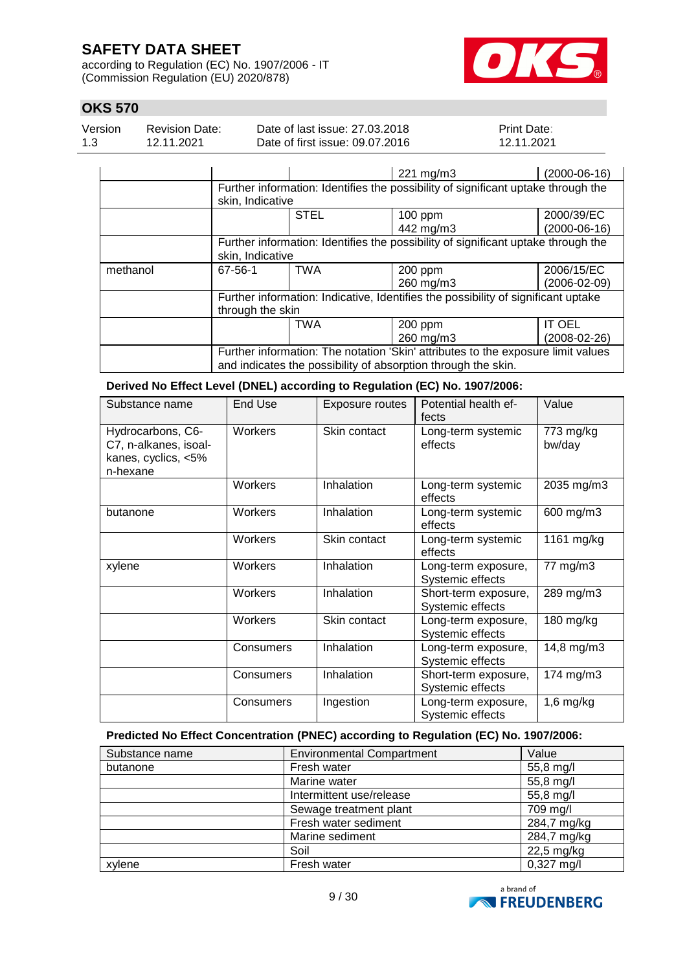according to Regulation (EC) No. 1907/2006 - IT (Commission Regulation (EU) 2020/878)



### **OKS 570**

| Version | <b>Revision Date:</b> | Date of last issue: 27,03,2018  | <b>Print Date:</b> |
|---------|-----------------------|---------------------------------|--------------------|
| 1.3     | 12.11.2021            | Date of first issue: 09.07.2016 | 12.11.2021         |

|          |                                                                                   |                                                                                   | 221 mg/m3 | $(2000-06-16)$ |  |  |
|----------|-----------------------------------------------------------------------------------|-----------------------------------------------------------------------------------|-----------|----------------|--|--|
|          |                                                                                   |                                                                                   |           |                |  |  |
|          |                                                                                   | Further information: Identifies the possibility of significant uptake through the |           |                |  |  |
|          |                                                                                   | skin, Indicative                                                                  |           |                |  |  |
|          |                                                                                   | <b>STEL</b>                                                                       | 100 ppm   | 2000/39/EC     |  |  |
|          |                                                                                   |                                                                                   | 442 mg/m3 | $(2000-06-16)$ |  |  |
|          | Further information: Identifies the possibility of significant uptake through the |                                                                                   |           |                |  |  |
|          | skin, Indicative                                                                  |                                                                                   |           |                |  |  |
| methanol | 67-56-1                                                                           | TWA                                                                               | 200 ppm   | 2006/15/EC     |  |  |
|          |                                                                                   |                                                                                   | 260 mg/m3 | (2006-02-09)   |  |  |
|          | Further information: Indicative, Identifies the possibility of significant uptake |                                                                                   |           |                |  |  |
|          | through the skin                                                                  |                                                                                   |           |                |  |  |
|          |                                                                                   | <b>TWA</b>                                                                        | 200 ppm   | IT OEL         |  |  |
|          |                                                                                   |                                                                                   | 260 mg/m3 | (2008-02-26)   |  |  |
|          | Further information: The notation 'Skin' attributes to the exposure limit values  |                                                                                   |           |                |  |  |
|          | and indicates the possibility of absorption through the skin.                     |                                                                                   |           |                |  |  |

**Derived No Effect Level (DNEL) according to Regulation (EC) No. 1907/2006:**

| Substance name                                                                | End Use   | Exposure routes | Potential health ef-<br>fects            | Value               |
|-------------------------------------------------------------------------------|-----------|-----------------|------------------------------------------|---------------------|
| Hydrocarbons, C6-<br>C7, n-alkanes, isoal-<br>kanes, cyclics, <5%<br>n-hexane | Workers   | Skin contact    | Long-term systemic<br>effects            | 773 mg/kg<br>bw/day |
|                                                                               | Workers   | Inhalation      | Long-term systemic<br>effects            | 2035 mg/m3          |
| butanone                                                                      | Workers   | Inhalation      | Long-term systemic<br>effects            | 600 mg/m3           |
|                                                                               | Workers   | Skin contact    | Long-term systemic<br>effects            | 1161 mg/kg          |
| xylene                                                                        | Workers   | Inhalation      | Long-term exposure,<br>Systemic effects  | 77 mg/m3            |
|                                                                               | Workers   | Inhalation      | Short-term exposure,<br>Systemic effects | 289 mg/m3           |
|                                                                               | Workers   | Skin contact    | Long-term exposure,<br>Systemic effects  | 180 mg/kg           |
|                                                                               | Consumers | Inhalation      | Long-term exposure,<br>Systemic effects  | 14,8 mg/m3          |
|                                                                               | Consumers | Inhalation      | Short-term exposure,<br>Systemic effects | 174 mg/m3           |
|                                                                               | Consumers | Ingestion       | Long-term exposure,<br>Systemic effects  | $1,6$ mg/kg         |

### **Predicted No Effect Concentration (PNEC) according to Regulation (EC) No. 1907/2006:**

| Substance name | <b>Environmental Compartment</b> | Value                |
|----------------|----------------------------------|----------------------|
| butanone       | Fresh water                      | 55,8 mg/l            |
|                | Marine water                     | 55,8 mg/l            |
|                | Intermittent use/release         | 55,8 mg/l            |
|                | Sewage treatment plant           | 709 mg/l             |
|                | Fresh water sediment             | 284,7 mg/kg          |
|                | Marine sediment                  | 284,7 mg/kg          |
|                | Soil                             | $22,5$ mg/kg         |
| xvlene         | Fresh water                      | $0,327 \text{ mg/l}$ |

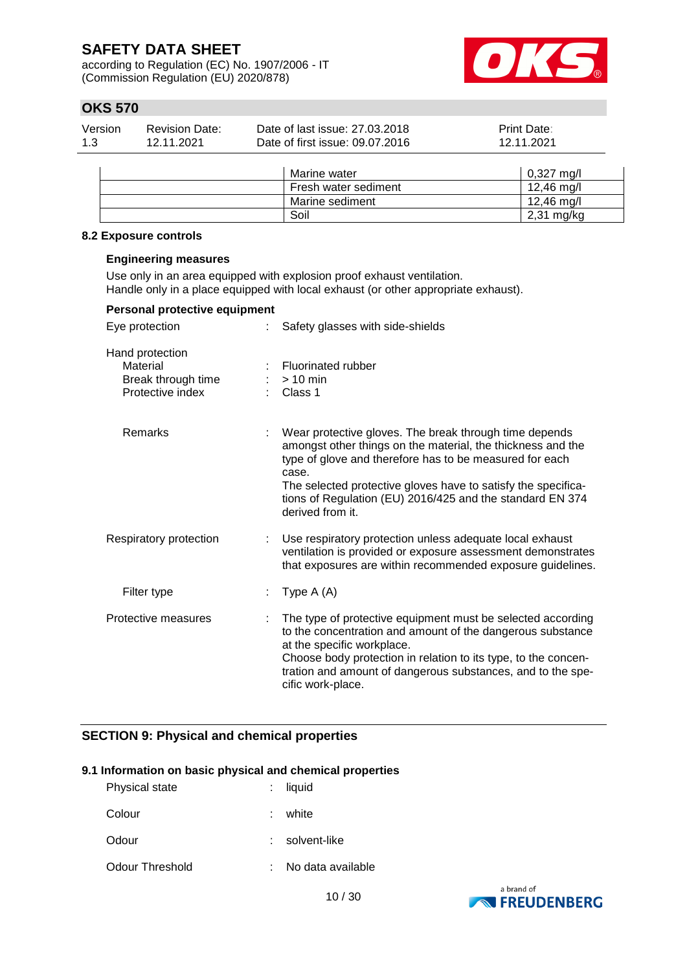according to Regulation (EC) No. 1907/2006 - IT (Commission Regulation (EU) 2020/878)



### **OKS 570**

| Version | Revision Date: | Date of last issue: 27,03,2018  | <b>Print Date:</b> |
|---------|----------------|---------------------------------|--------------------|
| 1.3     | 12.11.2021     | Date of first issue: 09.07.2016 | 12.11.2021         |

|  | Marine water         | $0,327 \text{ mg/l}$ |
|--|----------------------|----------------------|
|  | Fresh water sediment | 12,46 mg/l           |
|  | Marine sediment      | 12,46 mg/l           |
|  | Soil                 | $2,31$ mg/kg         |

### **8.2 Exposure controls**

### **Engineering measures**

Use only in an area equipped with explosion proof exhaust ventilation. Handle only in a place equipped with local exhaust (or other appropriate exhaust).

| Personal protective equipment                                         |                                                                                                                                                                                                                                                                                                                                             |
|-----------------------------------------------------------------------|---------------------------------------------------------------------------------------------------------------------------------------------------------------------------------------------------------------------------------------------------------------------------------------------------------------------------------------------|
| Eye protection                                                        | Safety glasses with side-shields                                                                                                                                                                                                                                                                                                            |
| Hand protection<br>Material<br>Break through time<br>Protective index | <b>Fluorinated rubber</b><br>$> 10$ min<br>Class 1                                                                                                                                                                                                                                                                                          |
| <b>Remarks</b>                                                        | Wear protective gloves. The break through time depends<br>amongst other things on the material, the thickness and the<br>type of glove and therefore has to be measured for each<br>case.<br>The selected protective gloves have to satisfy the specifica-<br>tions of Regulation (EU) 2016/425 and the standard EN 374<br>derived from it. |
| Respiratory protection                                                | Use respiratory protection unless adequate local exhaust<br>ventilation is provided or exposure assessment demonstrates<br>that exposures are within recommended exposure guidelines.                                                                                                                                                       |
| Filter type                                                           | Type $A(A)$                                                                                                                                                                                                                                                                                                                                 |
| Protective measures                                                   | The type of protective equipment must be selected according<br>to the concentration and amount of the dangerous substance<br>at the specific workplace.<br>Choose body protection in relation to its type, to the concen-<br>tration and amount of dangerous substances, and to the spe-<br>cific work-place.                               |

### **SECTION 9: Physical and chemical properties**

#### **9.1 Information on basic physical and chemical properties**

| <b>Physical state</b> |    | : liquid          |
|-----------------------|----|-------------------|
| Colour                | t. | white             |
| Odour                 |    | solvent-like      |
| Odour Threshold       |    | No data available |

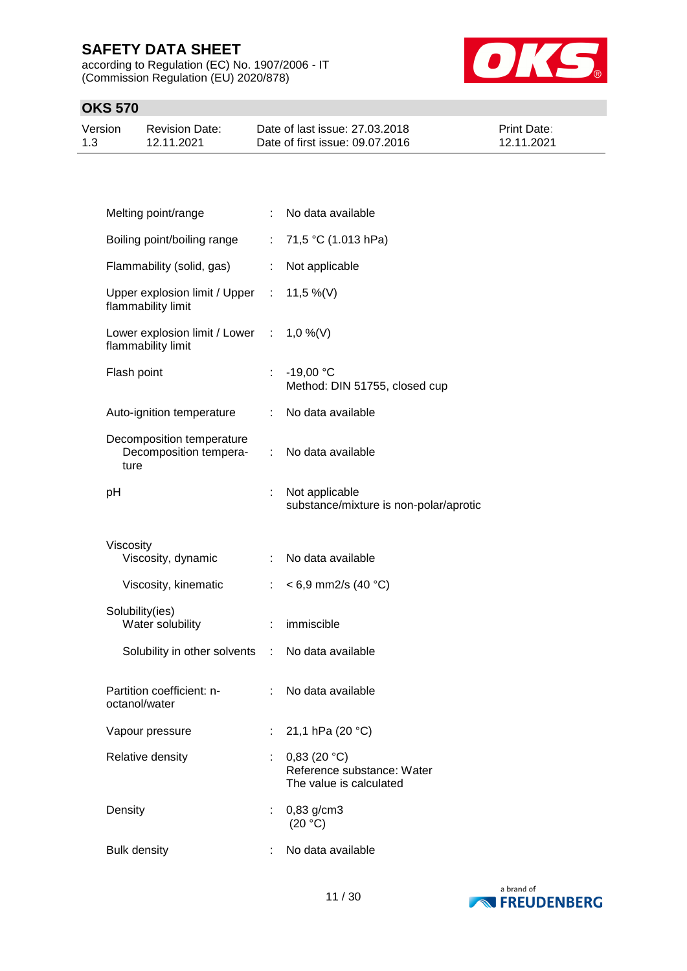according to Regulation (EC) No. 1907/2006 - IT (Commission Regulation (EU) 2020/878)



| Version | <b>Revision Date:</b> | Date of last issue: 27,03,2018  | <b>Print Date:</b> |
|---------|-----------------------|---------------------------------|--------------------|
| 1.3     | 12.11.2021            | Date of first issue: 09.07.2016 | 12.11.2021         |

| Melting point/range                                         | ÷  | No data available                                                    |
|-------------------------------------------------------------|----|----------------------------------------------------------------------|
| Boiling point/boiling range                                 | ÷. | 71,5 °C (1.013 hPa)                                                  |
| Flammability (solid, gas)                                   | ÷  | Not applicable                                                       |
| Upper explosion limit / Upper<br>flammability limit         | ÷  | 11,5 %(V)                                                            |
| Lower explosion limit / Lower :<br>flammability limit       |    | $1,0\%$ (V)                                                          |
| Flash point                                                 | ÷. | $-19,00 °C$<br>Method: DIN 51755, closed cup                         |
| Auto-ignition temperature                                   | ÷. | No data available                                                    |
| Decomposition temperature<br>Decomposition tempera-<br>ture | ÷  | No data available                                                    |
| рH                                                          |    | Not applicable<br>substance/mixture is non-polar/aprotic             |
|                                                             |    |                                                                      |
| Viscosity<br>Viscosity, dynamic                             | ÷. | No data available                                                    |
| Viscosity, kinematic                                        | ÷. | $< 6.9$ mm2/s (40 °C)                                                |
| Solubility(ies)<br>Water solubility                         | ÷  | immiscible                                                           |
| Solubility in other solvents                                | ÷  | No data available                                                    |
| Partition coefficient: n-<br>octanol/water                  | ÷. | No data available                                                    |
| Vapour pressure                                             |    | 21,1 hPa (20 °C)                                                     |
| Relative density                                            |    | 0,83(20 °C)<br>Reference substance: Water<br>The value is calculated |
| Density                                                     |    | $0,83$ g/cm3<br>(20 °C)                                              |

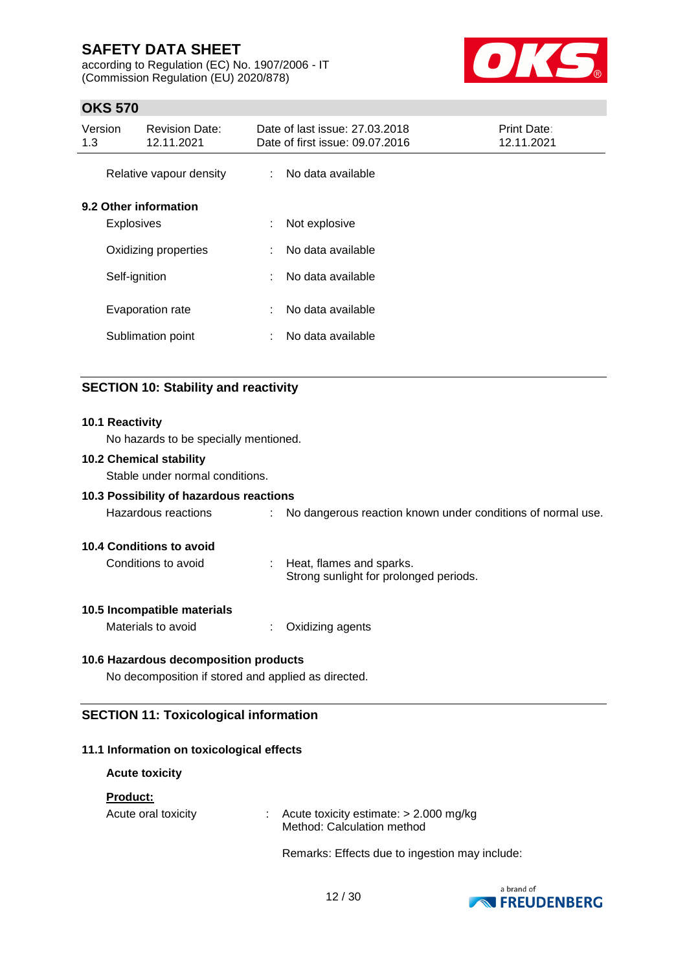according to Regulation (EC) No. 1907/2006 - IT (Commission Regulation (EU) 2020/878)



### **OKS 570**

| Version<br>1.3 | <b>Revision Date:</b><br>12.11.2021        | Date of last issue: 27,03,2018<br>Date of first issue: 09.07.2016 | Print Date:<br>12.11.2021 |
|----------------|--------------------------------------------|-------------------------------------------------------------------|---------------------------|
|                | Relative vapour density                    | : No data available                                               |                           |
|                | 9.2 Other information<br><b>Explosives</b> | Not explosive<br>÷                                                |                           |
|                | Oxidizing properties                       | No data available<br>÷.                                           |                           |
|                | Self-ignition                              | No data available<br>÷                                            |                           |
|                | Evaporation rate                           | No data available<br>÷                                            |                           |
|                | Sublimation point                          | No data available<br>÷                                            |                           |
|                |                                            |                                                                   |                           |

### **SECTION 10: Stability and reactivity**

#### **10.1 Reactivity**

No hazards to be specially mentioned.

### **10.2 Chemical stability**

Stable under normal conditions.

#### **10.3 Possibility of hazardous reactions**

| Hazardous reactions |  | No dangerous reaction known under conditions of normal use. |  |  |  |  |  |
|---------------------|--|-------------------------------------------------------------|--|--|--|--|--|
|---------------------|--|-------------------------------------------------------------|--|--|--|--|--|

#### **10.4 Conditions to avoid**

| Conditions to avoid | Heat, flames and sparks.               |
|---------------------|----------------------------------------|
|                     | Strong sunlight for prolonged periods. |

#### **10.5 Incompatible materials**

Materials to avoid : Oxidizing agents

#### **10.6 Hazardous decomposition products**

No decomposition if stored and applied as directed.

### **SECTION 11: Toxicological information**

#### **11.1 Information on toxicological effects**

| <b>Acute toxicity</b>                  |                                                                        |
|----------------------------------------|------------------------------------------------------------------------|
| <b>Product:</b><br>Acute oral toxicity | Acute toxicity estimate: $> 2.000$ mg/kg<br>Method: Calculation method |
|                                        |                                                                        |

Remarks: Effects due to ingestion may include:

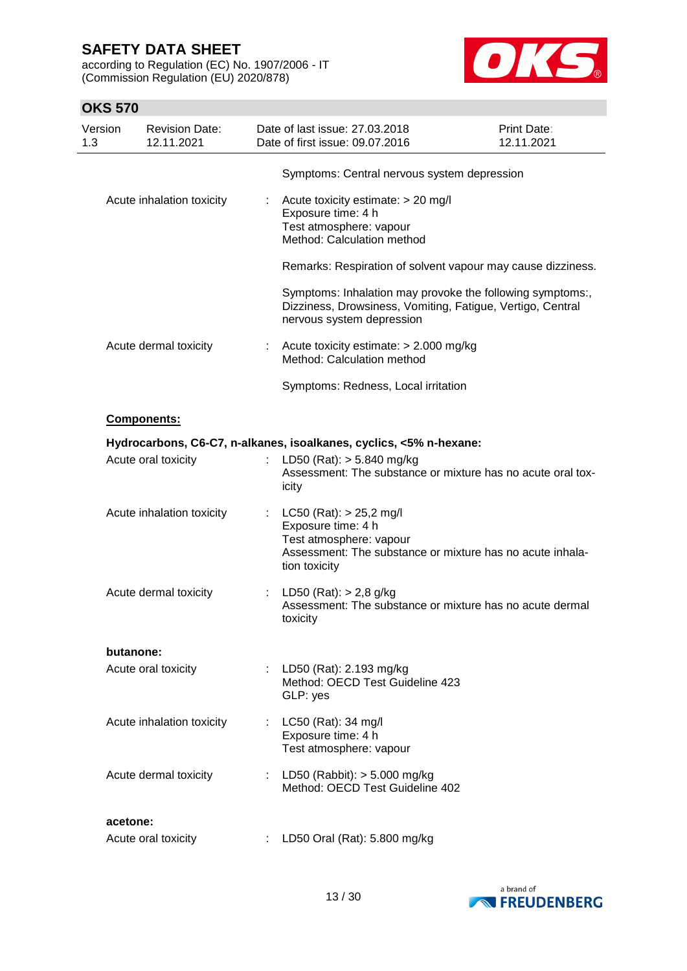according to Regulation (EC) No. 1907/2006 - IT (Commission Regulation (EU) 2020/878)



| Version<br>1.3 | <b>Revision Date:</b><br>12.11.2021 |    | Date of last issue: 27.03.2018<br>Date of first issue: 09.07.2016                                                                                      | Print Date:<br>12.11.2021 |
|----------------|-------------------------------------|----|--------------------------------------------------------------------------------------------------------------------------------------------------------|---------------------------|
|                |                                     |    | Symptoms: Central nervous system depression                                                                                                            |                           |
|                | Acute inhalation toxicity           |    | Acute toxicity estimate: > 20 mg/l<br>Exposure time: 4 h<br>Test atmosphere: vapour<br>Method: Calculation method                                      |                           |
|                |                                     |    | Remarks: Respiration of solvent vapour may cause dizziness.                                                                                            |                           |
|                |                                     |    | Symptoms: Inhalation may provoke the following symptoms:,<br>Dizziness, Drowsiness, Vomiting, Fatigue, Vertigo, Central<br>nervous system depression   |                           |
|                | Acute dermal toxicity               | t. | Acute toxicity estimate: $> 2.000$ mg/kg<br>Method: Calculation method                                                                                 |                           |
|                |                                     |    | Symptoms: Redness, Local irritation                                                                                                                    |                           |
|                | Components:                         |    |                                                                                                                                                        |                           |
|                |                                     |    | Hydrocarbons, C6-C7, n-alkanes, isoalkanes, cyclics, <5% n-hexane:                                                                                     |                           |
|                | Acute oral toxicity                 |    | : LD50 (Rat): $> 5.840$ mg/kg<br>Assessment: The substance or mixture has no acute oral tox-<br>icity                                                  |                           |
|                | Acute inhalation toxicity           |    | LC50 (Rat): > 25,2 mg/l<br>Exposure time: 4 h<br>Test atmosphere: vapour<br>Assessment: The substance or mixture has no acute inhala-<br>tion toxicity |                           |
|                | Acute dermal toxicity               |    | LD50 (Rat): $> 2,8$ g/kg<br>Assessment: The substance or mixture has no acute dermal<br>toxicity                                                       |                           |
|                | butanone:                           |    |                                                                                                                                                        |                           |
|                | Acute oral toxicity                 |    | LD50 (Rat): 2.193 mg/kg<br>Method: OECD Test Guideline 423<br>GLP: yes                                                                                 |                           |
|                | Acute inhalation toxicity           |    | : LC50 (Rat): 34 mg/l<br>Exposure time: 4 h<br>Test atmosphere: vapour                                                                                 |                           |
|                | Acute dermal toxicity               |    | : LD50 (Rabbit): $> 5.000$ mg/kg<br>Method: OECD Test Guideline 402                                                                                    |                           |
|                | acetone:                            |    |                                                                                                                                                        |                           |
|                | Acute oral toxicity                 |    | LD50 Oral (Rat): 5.800 mg/kg                                                                                                                           |                           |

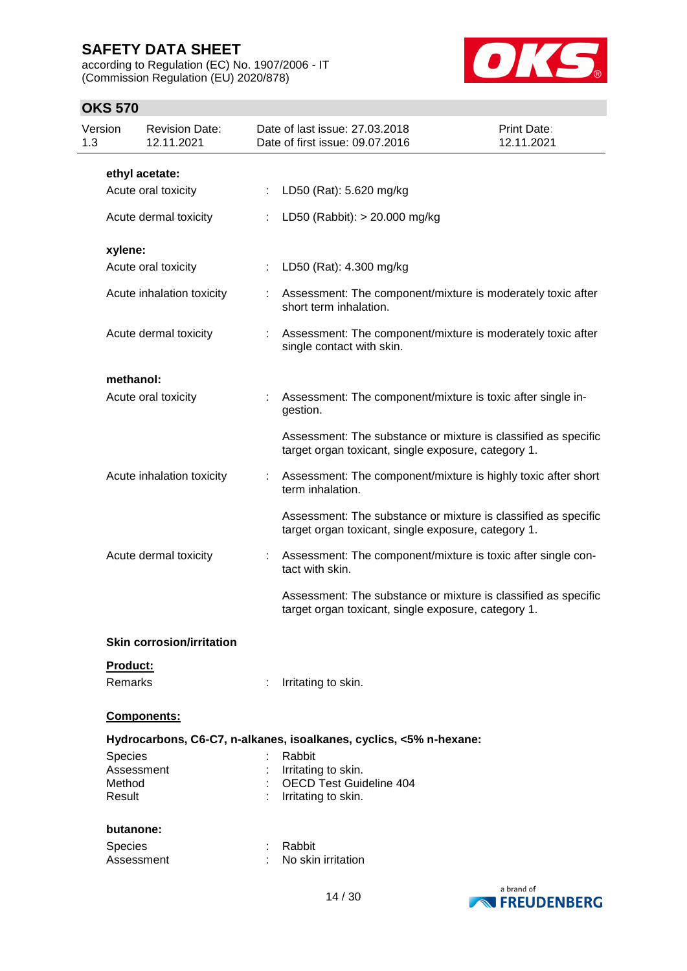according to Regulation (EC) No. 1907/2006 - IT (Commission Regulation (EU) 2020/878)



| Version<br>1.3   | <b>Revision Date:</b><br>12.11.2021 |                       | Date of last issue: 27.03.2018<br>Date of first issue: 09.07.2016                                                     | Print Date:<br>12.11.2021 |
|------------------|-------------------------------------|-----------------------|-----------------------------------------------------------------------------------------------------------------------|---------------------------|
|                  | ethyl acetate:                      |                       |                                                                                                                       |                           |
|                  | Acute oral toxicity                 | ÷.                    | LD50 (Rat): 5.620 mg/kg                                                                                               |                           |
|                  | Acute dermal toxicity               |                       | LD50 (Rabbit): > 20.000 mg/kg                                                                                         |                           |
| xylene:          |                                     |                       |                                                                                                                       |                           |
|                  | Acute oral toxicity                 | $\mathbb{Z}^{\times}$ | LD50 (Rat): 4.300 mg/kg                                                                                               |                           |
|                  | Acute inhalation toxicity           | ÷                     | Assessment: The component/mixture is moderately toxic after<br>short term inhalation.                                 |                           |
|                  | Acute dermal toxicity               |                       | Assessment: The component/mixture is moderately toxic after<br>single contact with skin.                              |                           |
| methanol:        |                                     |                       |                                                                                                                       |                           |
|                  | Acute oral toxicity                 |                       | Assessment: The component/mixture is toxic after single in-<br>gestion.                                               |                           |
|                  |                                     |                       | Assessment: The substance or mixture is classified as specific<br>target organ toxicant, single exposure, category 1. |                           |
|                  | Acute inhalation toxicity           |                       | Assessment: The component/mixture is highly toxic after short<br>term inhalation.                                     |                           |
|                  |                                     |                       | Assessment: The substance or mixture is classified as specific<br>target organ toxicant, single exposure, category 1. |                           |
|                  | Acute dermal toxicity               | ÷                     | Assessment: The component/mixture is toxic after single con-<br>tact with skin.                                       |                           |
|                  |                                     |                       | Assessment: The substance or mixture is classified as specific<br>target organ toxicant, single exposure, category 1. |                           |
|                  | <b>Skin corrosion/irritation</b>    |                       |                                                                                                                       |                           |
| Product:         |                                     |                       |                                                                                                                       |                           |
| <b>Remarks</b>   |                                     | ÷                     | Irritating to skin.                                                                                                   |                           |
|                  | Components:                         |                       |                                                                                                                       |                           |
|                  |                                     |                       | Hydrocarbons, C6-C7, n-alkanes, isoalkanes, cyclics, <5% n-hexane:                                                    |                           |
| Species          |                                     |                       | Rabbit                                                                                                                |                           |
|                  | Assessment                          |                       | Irritating to skin.                                                                                                   |                           |
| Method<br>Result |                                     |                       | <b>OECD Test Guideline 404</b><br>Irritating to skin.                                                                 |                           |
| butanone:        |                                     |                       |                                                                                                                       |                           |
|                  |                                     |                       |                                                                                                                       |                           |
| <b>Species</b>   | Assessment                          |                       | Rabbit<br>No skin irritation                                                                                          |                           |
|                  |                                     |                       |                                                                                                                       |                           |
|                  |                                     |                       |                                                                                                                       | a brand of                |

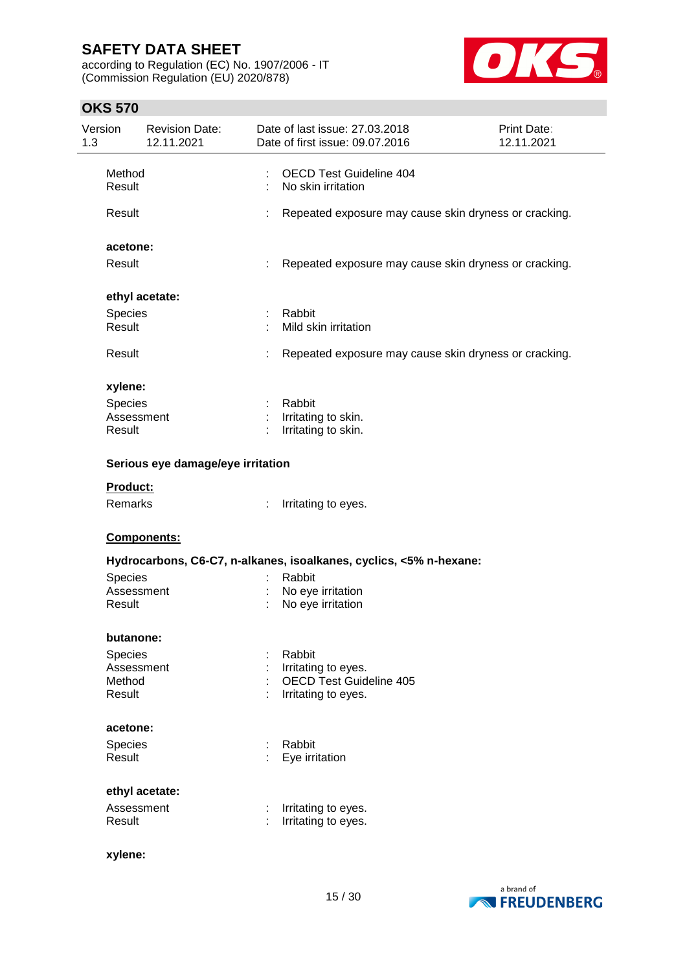according to Regulation (EC) No. 1907/2006 - IT (Commission Regulation (EU) 2020/878)



| Version<br>1.3 |                                        | <b>Revision Date:</b><br>12.11.2021 |   | Date of last issue: 27.03.2018<br>Date of first issue: 09.07.2016  | Print Date:<br>12.11.2021 |
|----------------|----------------------------------------|-------------------------------------|---|--------------------------------------------------------------------|---------------------------|
|                | Method<br>Result                       |                                     |   | <b>OECD Test Guideline 404</b><br>No skin irritation               |                           |
|                | Result                                 |                                     |   | Repeated exposure may cause skin dryness or cracking.              |                           |
|                | acetone:                               |                                     |   |                                                                    |                           |
|                | Result                                 |                                     | t | Repeated exposure may cause skin dryness or cracking.              |                           |
|                |                                        | ethyl acetate:                      |   |                                                                    |                           |
|                | Species<br>Result                      |                                     |   | Rabbit<br>Mild skin irritation                                     |                           |
|                | Result                                 |                                     | t | Repeated exposure may cause skin dryness or cracking.              |                           |
|                | xylene:                                |                                     |   |                                                                    |                           |
|                | <b>Species</b><br>Assessment<br>Result |                                     |   | Rabbit<br>Irritating to skin.<br>Irritating to skin.               |                           |
|                |                                        | Serious eye damage/eye irritation   |   |                                                                    |                           |
|                | Product:                               |                                     |   |                                                                    |                           |
|                | Remarks                                |                                     |   | Irritating to eyes.                                                |                           |
|                |                                        | Components:                         |   |                                                                    |                           |
|                |                                        |                                     |   | Hydrocarbons, C6-C7, n-alkanes, isoalkanes, cyclics, <5% n-hexane: |                           |
|                | Species                                |                                     |   | Rabbit                                                             |                           |
|                | Assessment<br>Result                   |                                     |   | No eye irritation<br>No eye irritation                             |                           |
|                | butanone:                              |                                     |   |                                                                    |                           |
|                | <b>Species</b>                         |                                     |   | Rabbit                                                             |                           |
|                | Assessment                             |                                     |   | Irritating to eyes.                                                |                           |
|                | Method<br>Result                       |                                     |   | OECD Test Guideline 405<br>Irritating to eyes.                     |                           |
|                | acetone:                               |                                     |   |                                                                    |                           |
|                | Species<br>Result                      |                                     |   | Rabbit<br>Eye irritation                                           |                           |
|                |                                        | ethyl acetate:                      |   |                                                                    |                           |
|                | Assessment                             |                                     |   | Irritating to eyes.                                                |                           |
|                | Result                                 |                                     |   | Irritating to eyes.                                                |                           |
|                | xylene:                                |                                     |   |                                                                    |                           |

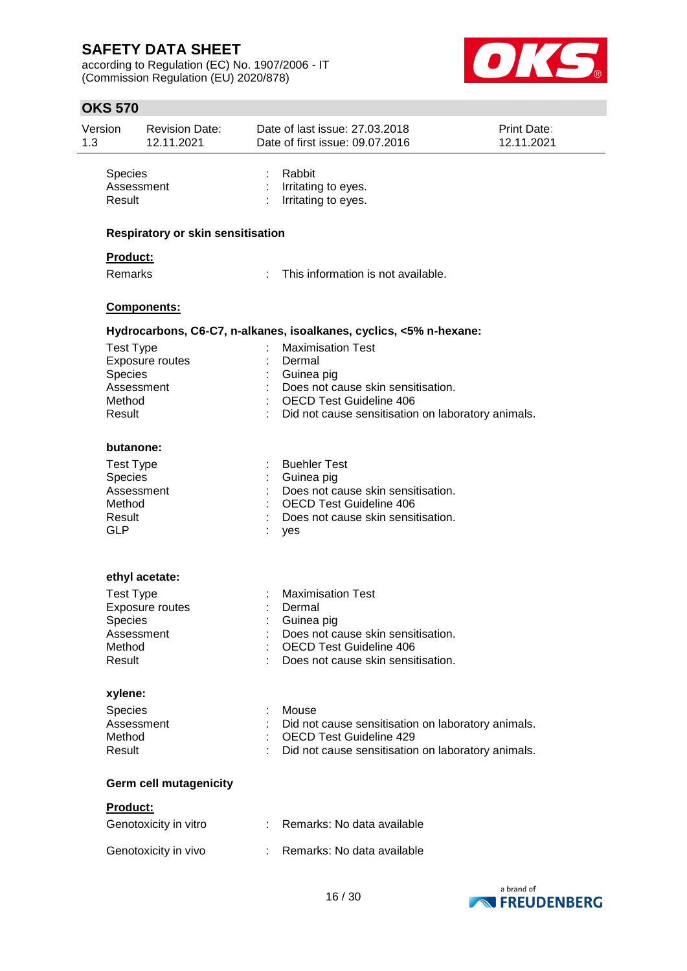according to Regulation (EC) No. 1907/2006 - IT (Commission Regulation (EU) 2020/878)



| Version<br>1.3 | Revision Date:<br>12.11.2021                                                                              | Date of last issue: 27.03.2018<br>Date of first issue: 09.07.2016 |                                                                                                                                            | Print Date:<br>12.11.2021 |
|----------------|-----------------------------------------------------------------------------------------------------------|-------------------------------------------------------------------|--------------------------------------------------------------------------------------------------------------------------------------------|---------------------------|
|                | Species<br>Assessment<br>Result                                                                           | Rabbit<br>Irritating to eyes.<br>Irritating to eyes.              |                                                                                                                                            |                           |
|                | <b>Respiratory or skin sensitisation</b>                                                                  |                                                                   |                                                                                                                                            |                           |
|                | Product:<br>Remarks                                                                                       | ÷                                                                 | This information is not available.                                                                                                         |                           |
|                | Components:                                                                                               |                                                                   |                                                                                                                                            |                           |
|                |                                                                                                           |                                                                   | Hydrocarbons, C6-C7, n-alkanes, isoalkanes, cyclics, <5% n-hexane:                                                                         |                           |
|                | <b>Test Type</b><br>Exposure routes<br>Species<br>Assessment<br>Method<br>Result                          | <b>Maximisation Test</b><br>Dermal<br>Guinea pig                  | Does not cause skin sensitisation.<br><b>OECD Test Guideline 406</b><br>Did not cause sensitisation on laboratory animals.                 |                           |
|                | butanone:                                                                                                 |                                                                   |                                                                                                                                            |                           |
|                | <b>Test Type</b><br>Species<br>Assessment<br>Method<br>Result<br><b>GLP</b>                               | <b>Buehler Test</b><br>Guinea pig<br>yes                          | Does not cause skin sensitisation.<br><b>OECD Test Guideline 406</b><br>Does not cause skin sensitisation.                                 |                           |
|                |                                                                                                           |                                                                   |                                                                                                                                            |                           |
|                | ethyl acetate:<br><b>Test Type</b><br>Exposure routes<br><b>Species</b><br>Assessment<br>Method<br>Result | <b>Maximisation Test</b><br>Dermal<br>Guinea pig                  | Does not cause skin sensitisation.<br><b>OECD Test Guideline 406</b><br>Does not cause skin sensitisation.                                 |                           |
|                | xylene:                                                                                                   |                                                                   |                                                                                                                                            |                           |
|                | Species<br>Assessment<br>Method<br>Result                                                                 | Mouse                                                             | Did not cause sensitisation on laboratory animals.<br><b>OECD Test Guideline 429</b><br>Did not cause sensitisation on laboratory animals. |                           |
|                | <b>Germ cell mutagenicity</b>                                                                             |                                                                   |                                                                                                                                            |                           |
|                | Product:                                                                                                  |                                                                   |                                                                                                                                            |                           |
|                | Genotoxicity in vitro                                                                                     |                                                                   | Remarks: No data available                                                                                                                 |                           |
|                | Genotoxicity in vivo                                                                                      |                                                                   | Remarks: No data available                                                                                                                 |                           |
|                |                                                                                                           |                                                                   |                                                                                                                                            |                           |

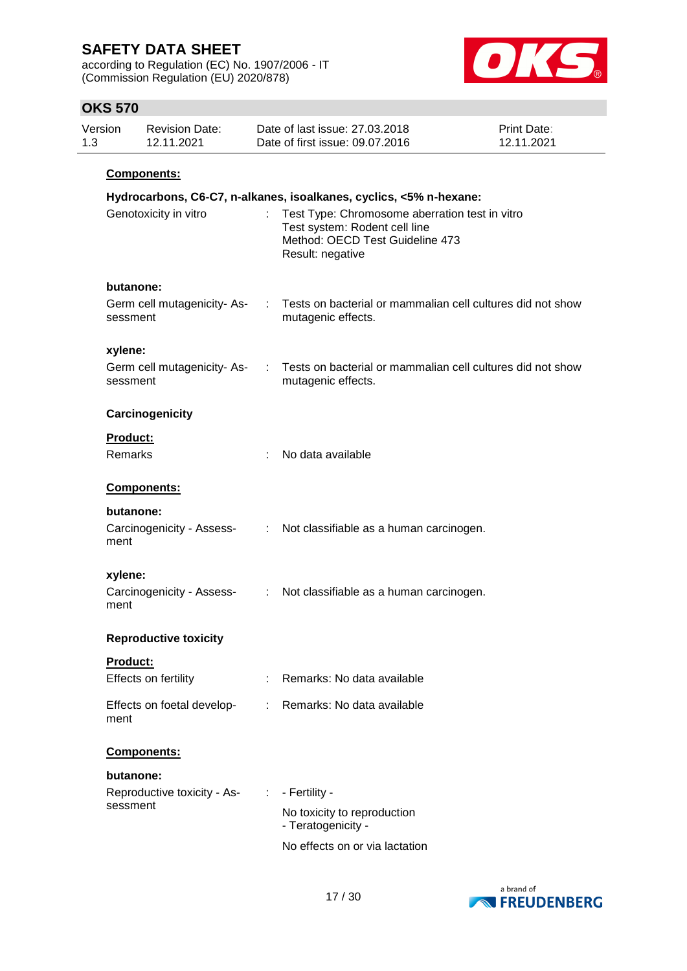according to Regulation (EC) No. 1907/2006 - IT (Commission Regulation (EU) 2020/878)



| Version | <b>Revision Date:</b> | Date of last issue: 27,03,2018  | <b>Print Date:</b> |
|---------|-----------------------|---------------------------------|--------------------|
| 1.3     | 12.11.2021            | Date of first issue: 09.07.2016 | 12.11.2021         |
|         | <b>Components:</b>    |                                 |                    |

|                                        |                | Hydrocarbons, C6-C7, n-alkanes, isoalkanes, cyclics, <5% n-hexane:                                                                     |
|----------------------------------------|----------------|----------------------------------------------------------------------------------------------------------------------------------------|
| Genotoxicity in vitro                  |                | Test Type: Chromosome aberration test in vitro<br>Test system: Rodent cell line<br>Method: OECD Test Guideline 473<br>Result: negative |
| butanone:                              |                |                                                                                                                                        |
| Germ cell mutagenicity-As-<br>sessment | ÷              | Tests on bacterial or mammalian cell cultures did not show<br>mutagenic effects.                                                       |
| xylene:                                |                |                                                                                                                                        |
| Germ cell mutagenicity-As-<br>sessment | ÷              | Tests on bacterial or mammalian cell cultures did not show<br>mutagenic effects.                                                       |
| Carcinogenicity                        |                |                                                                                                                                        |
| Product:                               |                |                                                                                                                                        |
| Remarks                                |                | No data available                                                                                                                      |
| Components:                            |                |                                                                                                                                        |
| butanone:                              |                |                                                                                                                                        |
| Carcinogenicity - Assess-<br>ment      | ÷.             | Not classifiable as a human carcinogen.                                                                                                |
| xylene:                                |                |                                                                                                                                        |
| Carcinogenicity - Assess-<br>ment      | $\mathbb{Z}^n$ | Not classifiable as a human carcinogen.                                                                                                |
| <b>Reproductive toxicity</b>           |                |                                                                                                                                        |
| <b>Product:</b>                        |                |                                                                                                                                        |
| Effects on fertility                   |                | Remarks: No data available                                                                                                             |
| Effects on foetal develop-<br>ment     |                | Remarks: No data available                                                                                                             |
| Components:                            |                |                                                                                                                                        |
| butanone:                              |                |                                                                                                                                        |
| Reproductive toxicity - As-            | ÷              | - Fertility -                                                                                                                          |
| sessment                               |                | No toxicity to reproduction<br>- Teratogenicity -                                                                                      |
|                                        |                | No effects on or via lactation                                                                                                         |

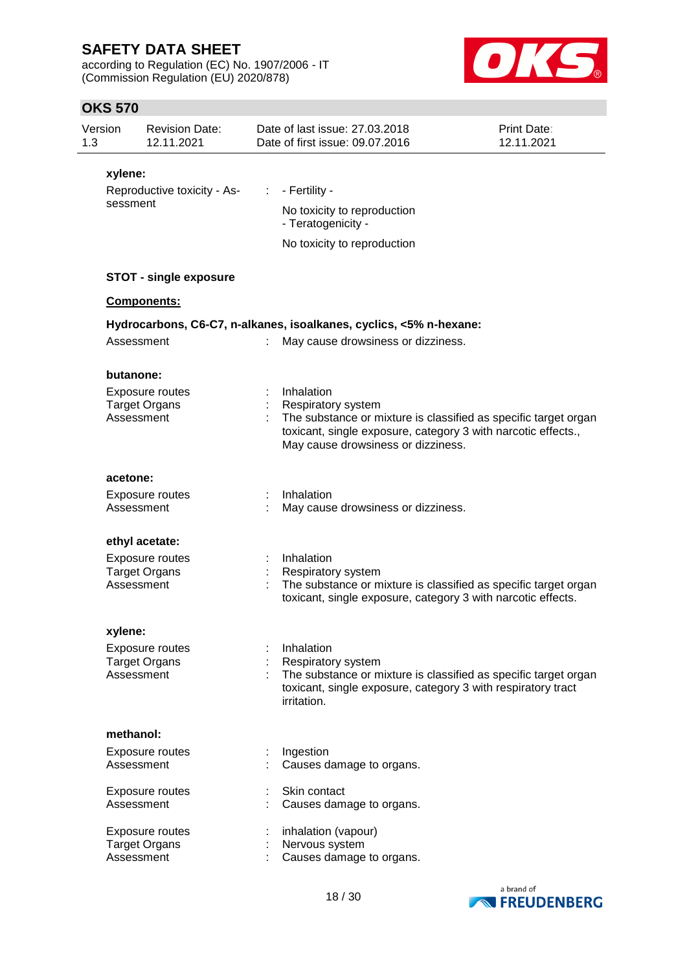according to Regulation (EC) No. 1907/2006 - IT (Commission Regulation (EU) 2020/878)



| Version<br>1.3 |                      | <b>Revision Date:</b><br>12.11.2021 |    | Date of last issue: 27.03.2018<br>Date of first issue: 09.07.2016                                                                              | Print Date:<br>12.11.2021 |
|----------------|----------------------|-------------------------------------|----|------------------------------------------------------------------------------------------------------------------------------------------------|---------------------------|
|                | xylene:              |                                     |    |                                                                                                                                                |                           |
|                |                      | Reproductive toxicity - As-         | ÷. | - Fertility -                                                                                                                                  |                           |
|                | sessment             |                                     |    | No toxicity to reproduction<br>- Teratogenicity -                                                                                              |                           |
|                |                      |                                     |    | No toxicity to reproduction                                                                                                                    |                           |
|                |                      |                                     |    |                                                                                                                                                |                           |
|                |                      | <b>STOT - single exposure</b>       |    |                                                                                                                                                |                           |
|                | Components:          |                                     |    |                                                                                                                                                |                           |
|                |                      |                                     |    | Hydrocarbons, C6-C7, n-alkanes, isoalkanes, cyclics, <5% n-hexane:                                                                             |                           |
|                | Assessment           |                                     |    | May cause drowsiness or dizziness.                                                                                                             |                           |
|                |                      |                                     |    |                                                                                                                                                |                           |
|                | butanone:            |                                     |    |                                                                                                                                                |                           |
|                | <b>Target Organs</b> | Exposure routes                     |    | Inhalation<br><b>Respiratory system</b>                                                                                                        |                           |
|                | Assessment           |                                     |    | The substance or mixture is classified as specific target organ                                                                                |                           |
|                |                      |                                     |    | toxicant, single exposure, category 3 with narcotic effects.,<br>May cause drowsiness or dizziness.                                            |                           |
|                | acetone:             |                                     |    |                                                                                                                                                |                           |
|                |                      | Exposure routes                     |    | Inhalation                                                                                                                                     |                           |
|                | Assessment           |                                     |    | May cause drowsiness or dizziness.                                                                                                             |                           |
|                | ethyl acetate:       |                                     |    |                                                                                                                                                |                           |
|                |                      | Exposure routes                     |    | Inhalation                                                                                                                                     |                           |
|                |                      | <b>Target Organs</b>                |    | <b>Respiratory system</b>                                                                                                                      |                           |
|                | Assessment           |                                     |    | The substance or mixture is classified as specific target organ<br>toxicant, single exposure, category 3 with narcotic effects.                |                           |
|                | xylene:              |                                     |    |                                                                                                                                                |                           |
|                |                      | Exposure routes                     |    | Inhalation                                                                                                                                     |                           |
|                |                      | <b>Target Organs</b>                |    | <b>Respiratory system</b>                                                                                                                      |                           |
|                | Assessment           |                                     |    | The substance or mixture is classified as specific target organ<br>toxicant, single exposure, category 3 with respiratory tract<br>irritation. |                           |
|                | methanol:            |                                     |    |                                                                                                                                                |                           |
|                |                      | Exposure routes                     |    | Ingestion                                                                                                                                      |                           |
|                | Assessment           |                                     |    | Causes damage to organs.                                                                                                                       |                           |
|                |                      | Exposure routes                     |    | Skin contact                                                                                                                                   |                           |
|                | Assessment           |                                     |    | Causes damage to organs.                                                                                                                       |                           |
|                |                      | Exposure routes                     |    | inhalation (vapour)                                                                                                                            |                           |
|                |                      | <b>Target Organs</b>                |    | Nervous system                                                                                                                                 |                           |
|                | Assessment           |                                     |    | Causes damage to organs.                                                                                                                       |                           |

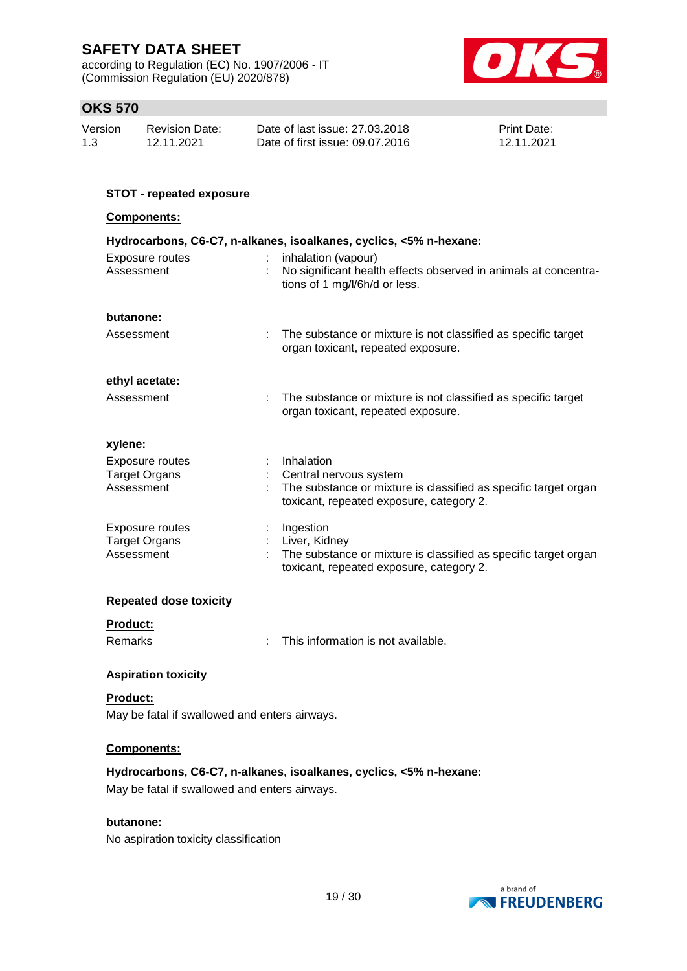according to Regulation (EC) No. 1907/2006 - IT (Commission Regulation (EU) 2020/878)



### **OKS 570**

| Version | <b>Revision Date:</b> | Date of last issue: 27,03,2018  | <b>Print Date:</b> |
|---------|-----------------------|---------------------------------|--------------------|
| 1.3     | 12.11.2021            | Date of first issue: 09.07.2016 | 12.11.2021         |

# **STOT - repeated exposure Components: Hydrocarbons, C6-C7, n-alkanes, isoalkanes, cyclics, <5% n-hexane:** Exposure routes : inhalation (vapour) Assessment : No significant health effects observed in animals at concentrations of 1 mg/l/6h/d or less. **butanone:** Assessment : The substance or mixture is not classified as specific target organ toxicant, repeated exposure. **ethyl acetate:** Assessment : The substance or mixture is not classified as specific target organ toxicant, repeated exposure. **xylene:** Exposure routes : Inhalation Target Organs : Central nervous system Assessment : The substance or mixture is classified as specific target organ toxicant, repeated exposure, category 2. Exposure routes : Ingestion Target Organs : Liver, Kidney Assessment : The substance or mixture is classified as specific target organ toxicant, repeated exposure, category 2. **Repeated dose toxicity**

# **Product:**

Remarks : This information is not available.

### **Aspiration toxicity**

**Product:** May be fatal if swallowed and enters airways.

#### **Components:**

**Hydrocarbons, C6-C7, n-alkanes, isoalkanes, cyclics, <5% n-hexane:** May be fatal if swallowed and enters airways.

#### **butanone:**

No aspiration toxicity classification

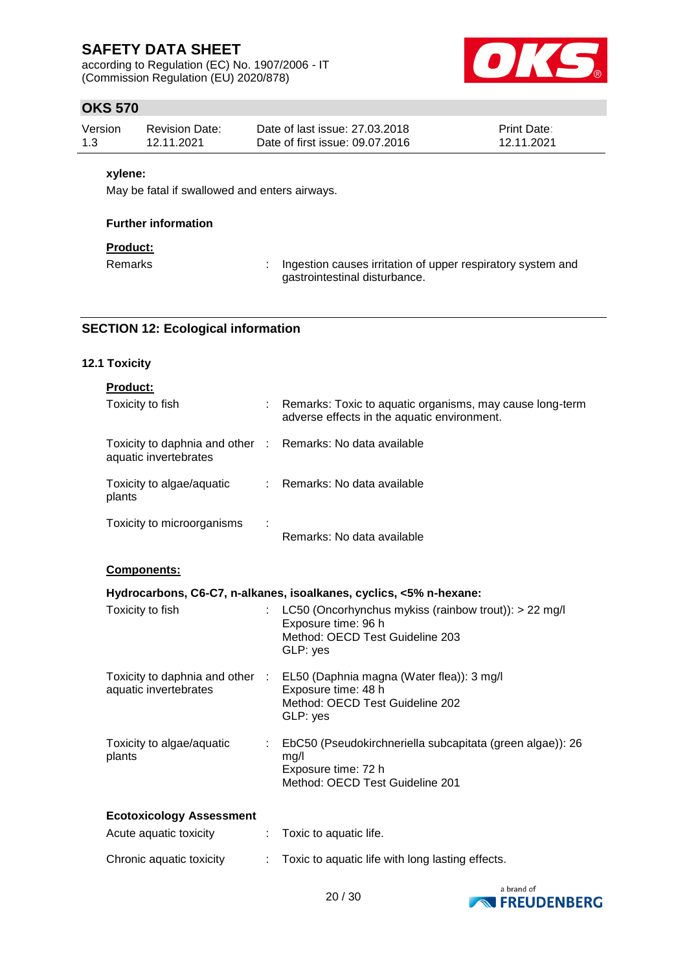according to Regulation (EC) No. 1907/2006 - IT (Commission Regulation (EU) 2020/878)



### **OKS 570**

| Version | Revision Date: | Date of last issue: 27,03,2018  | <b>Print Date:</b> |
|---------|----------------|---------------------------------|--------------------|
| 1.3     | 12.11.2021     | Date of first issue: 09.07.2016 | 12.11.2021         |

#### **xylene:**

May be fatal if swallowed and enters airways.

#### **Further information**

### **Product:**

Remarks : Ingestion causes irritation of upper respiratory system and gastrointestinal disturbance.

### **SECTION 12: Ecological information**

#### **12.1 Toxicity**

| <b>Product:</b>                                                                     |                                                                                                         |
|-------------------------------------------------------------------------------------|---------------------------------------------------------------------------------------------------------|
| Toxicity to fish                                                                    | Remarks: Toxic to aquatic organisms, may cause long-term<br>adverse effects in the aquatic environment. |
| Toxicity to daphnia and other : Remarks: No data available<br>aquatic invertebrates |                                                                                                         |
| Toxicity to algae/aquatic<br>plants                                                 | : Remarks: No data available                                                                            |
| Toxicity to microorganisms                                                          | Remarks: No data available                                                                              |

#### **Components:**

|                                     | Hydrocarbons, C6-C7, n-alkanes, isoalkanes, cyclics, <5% n-hexane:                                                                              |
|-------------------------------------|-------------------------------------------------------------------------------------------------------------------------------------------------|
| Toxicity to fish                    | : LC50 (Oncorhynchus mykiss (rainbow trout)): $> 22$ mg/l<br>Exposure time: 96 h<br>Method: OECD Test Guideline 203<br>GLP: yes                 |
| aquatic invertebrates               | Toxicity to daphnia and other : EL50 (Daphnia magna (Water flea)): 3 mg/l<br>Exposure time: 48 h<br>Method: OECD Test Guideline 202<br>GLP: yes |
| Toxicity to algae/aquatic<br>plants | EbC50 (Pseudokirchneriella subcapitata (green algae)): 26<br>mq/l<br>Exposure time: 72 h<br>Method: OECD Test Guideline 201                     |
| <b>Ecotoxicology Assessment</b>     |                                                                                                                                                 |
| Acute aquatic toxicity              | Toxic to aquatic life.                                                                                                                          |

| Chronic aquatic toxicity | Toxic to aquatic life with long lasting effects. |
|--------------------------|--------------------------------------------------|
|                          |                                                  |

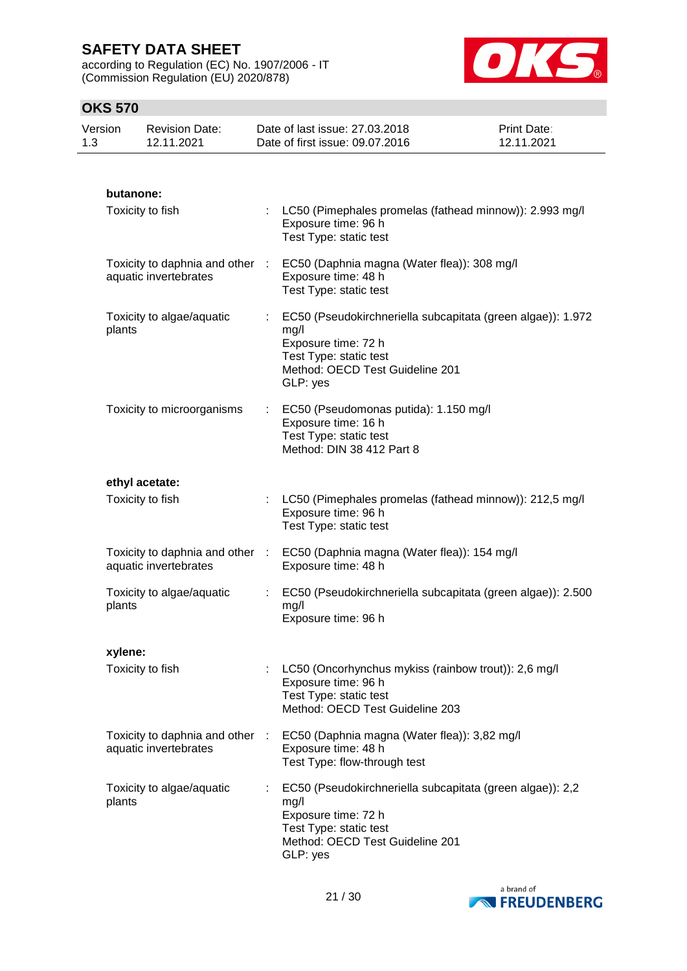according to Regulation (EC) No. 1907/2006 - IT (Commission Regulation (EU) 2020/878)



| Version<br>1.3 |           | <b>Revision Date:</b><br>12.11.2021                      |    | Date of last issue: 27.03.2018<br>Date of first issue: 09.07.2016                                                                                                     | Print Date:<br>12.11.2021 |
|----------------|-----------|----------------------------------------------------------|----|-----------------------------------------------------------------------------------------------------------------------------------------------------------------------|---------------------------|
|                |           |                                                          |    |                                                                                                                                                                       |                           |
|                | butanone: |                                                          |    |                                                                                                                                                                       |                           |
|                |           | Toxicity to fish                                         |    | LC50 (Pimephales promelas (fathead minnow)): 2.993 mg/l<br>Exposure time: 96 h<br>Test Type: static test                                                              |                           |
|                |           | Toxicity to daphnia and other :<br>aquatic invertebrates |    | EC50 (Daphnia magna (Water flea)): 308 mg/l<br>Exposure time: 48 h<br>Test Type: static test                                                                          |                           |
|                | plants    | Toxicity to algae/aquatic                                |    | : EC50 (Pseudokirchneriella subcapitata (green algae)): 1.972<br>mg/l<br>Exposure time: 72 h<br>Test Type: static test<br>Method: OECD Test Guideline 201<br>GLP: yes |                           |
|                |           | Toxicity to microorganisms                               |    | EC50 (Pseudomonas putida): 1.150 mg/l<br>Exposure time: 16 h<br>Test Type: static test<br>Method: DIN 38 412 Part 8                                                   |                           |
|                |           | ethyl acetate:                                           |    |                                                                                                                                                                       |                           |
|                |           | Toxicity to fish                                         |    | LC50 (Pimephales promelas (fathead minnow)): 212,5 mg/l<br>Exposure time: 96 h<br>Test Type: static test                                                              |                           |
|                |           | Toxicity to daphnia and other :<br>aquatic invertebrates |    | EC50 (Daphnia magna (Water flea)): 154 mg/l<br>Exposure time: 48 h                                                                                                    |                           |
|                | plants    | Toxicity to algae/aquatic                                | ÷  | EC50 (Pseudokirchneriella subcapitata (green algae)): 2.500<br>mg/l<br>Exposure time: 96 h                                                                            |                           |
|                | xylene:   |                                                          |    |                                                                                                                                                                       |                           |
|                |           | Toxicity to fish                                         | ÷. | LC50 (Oncorhynchus mykiss (rainbow trout)): 2,6 mg/l<br>Exposure time: 96 h<br>Test Type: static test<br>Method: OECD Test Guideline 203                              |                           |
|                |           | Toxicity to daphnia and other :<br>aquatic invertebrates |    | EC50 (Daphnia magna (Water flea)): 3,82 mg/l<br>Exposure time: 48 h<br>Test Type: flow-through test                                                                   |                           |
|                | plants    | Toxicity to algae/aquatic                                | ÷  | EC50 (Pseudokirchneriella subcapitata (green algae)): 2,2<br>mg/l<br>Exposure time: 72 h<br>Test Type: static test<br>Method: OECD Test Guideline 201<br>GLP: yes     |                           |

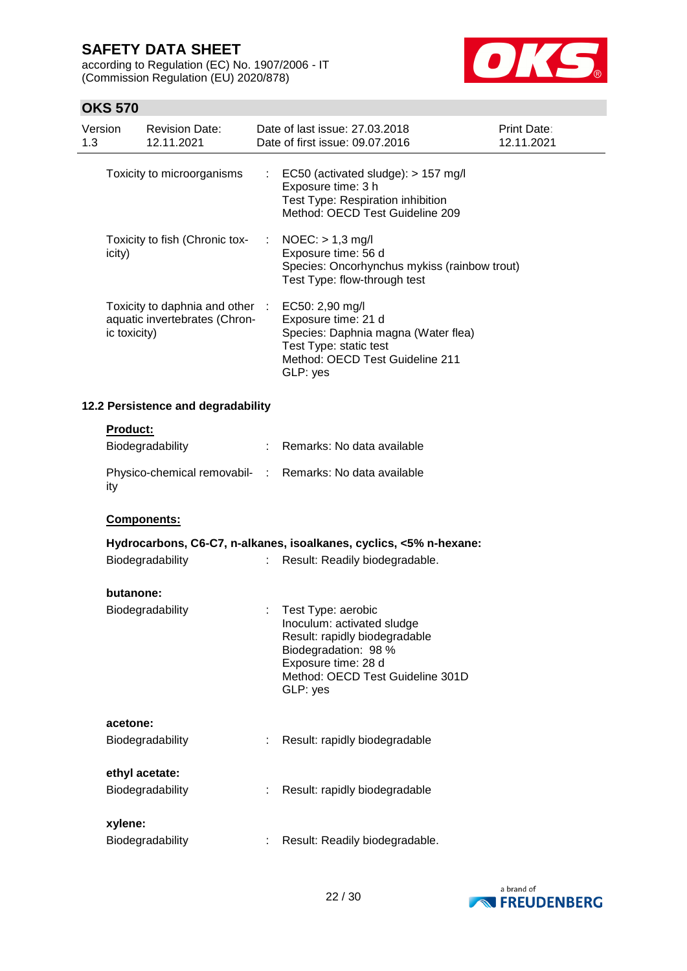according to Regulation (EC) No. 1907/2006 - IT (Commission Regulation (EU) 2020/878)



| 1.3 | Version         | <b>Revision Date:</b><br>12.11.2021                            |    | Date of last issue: 27.03.2018<br>Date of first issue: 09.07.2016                                                                                                                | Print Date:<br>12.11.2021 |
|-----|-----------------|----------------------------------------------------------------|----|----------------------------------------------------------------------------------------------------------------------------------------------------------------------------------|---------------------------|
|     |                 | Toxicity to microorganisms                                     | t. | EC50 (activated sludge): > 157 mg/l<br>Exposure time: 3 h<br>Test Type: Respiration inhibition<br>Method: OECD Test Guideline 209                                                |                           |
|     | icity)          | Toxicity to fish (Chronic tox-                                 |    | $NOEC:$ > 1,3 mg/l<br>Exposure time: 56 d<br>Species: Oncorhynchus mykiss (rainbow trout)<br>Test Type: flow-through test                                                        |                           |
|     | ic toxicity)    | Toxicity to daphnia and other<br>aquatic invertebrates (Chron- |    | EC50: 2,90 mg/l<br>Exposure time: 21 d<br>Species: Daphnia magna (Water flea)<br>Test Type: static test<br>Method: OECD Test Guideline 211<br>GLP: yes                           |                           |
|     |                 | 12.2 Persistence and degradability                             |    |                                                                                                                                                                                  |                           |
|     | <b>Product:</b> | Biodegradability                                               |    | Remarks: No data available                                                                                                                                                       |                           |
|     | ity             |                                                                |    | Physico-chemical removabil- : Remarks: No data available                                                                                                                         |                           |
|     |                 | Components:                                                    |    |                                                                                                                                                                                  |                           |
|     |                 |                                                                |    | Hydrocarbons, C6-C7, n-alkanes, isoalkanes, cyclics, <5% n-hexane:                                                                                                               |                           |
|     |                 | Biodegradability                                               | ÷. | Result: Readily biodegradable.                                                                                                                                                   |                           |
|     | butanone:       |                                                                |    |                                                                                                                                                                                  |                           |
|     |                 | Biodegradability                                               |    | Test Type: aerobic<br>Inoculum: activated sludge<br>Result: rapidly biodegradable<br>Biodegradation: 98 %<br>Exposure time: 28 d<br>Method: OECD Test Guideline 301D<br>GLP: yes |                           |
|     | acetone:        |                                                                |    |                                                                                                                                                                                  |                           |
|     |                 | Biodegradability                                               |    | Result: rapidly biodegradable                                                                                                                                                    |                           |
|     |                 | ethyl acetate:                                                 |    |                                                                                                                                                                                  |                           |
|     |                 | Biodegradability                                               |    | Result: rapidly biodegradable                                                                                                                                                    |                           |
|     | xylene:         | Biodegradability                                               |    | Result: Readily biodegradable.                                                                                                                                                   |                           |
|     |                 |                                                                |    |                                                                                                                                                                                  |                           |

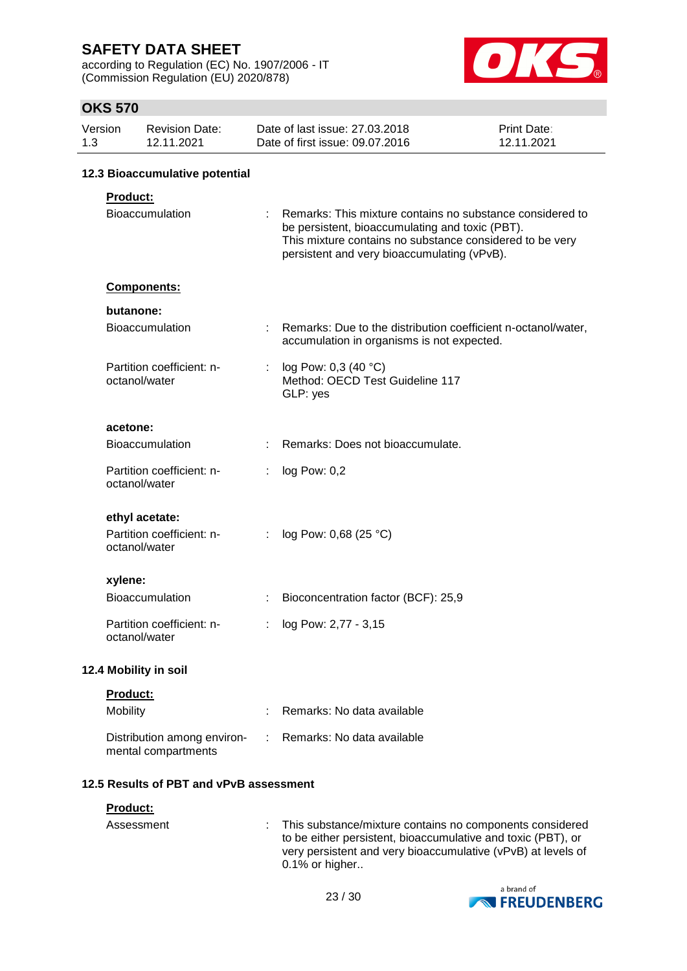according to Regulation (EC) No. 1907/2006 - IT (Commission Regulation (EU) 2020/878)



|     | ט <i>ו</i> ט טוו |                                                    |   |                                                                                                                                                                                                                         |                                  |
|-----|------------------|----------------------------------------------------|---|-------------------------------------------------------------------------------------------------------------------------------------------------------------------------------------------------------------------------|----------------------------------|
| 1.3 | Version          | <b>Revision Date:</b><br>12.11.2021                |   | Date of last issue: 27.03.2018<br>Date of first issue: 09.07.2016                                                                                                                                                       | <b>Print Date:</b><br>12.11.2021 |
|     |                  | 12.3 Bioaccumulative potential                     |   |                                                                                                                                                                                                                         |                                  |
|     | Product:         |                                                    |   |                                                                                                                                                                                                                         |                                  |
|     |                  | Bioaccumulation                                    |   | Remarks: This mixture contains no substance considered to<br>be persistent, bioaccumulating and toxic (PBT).<br>This mixture contains no substance considered to be very<br>persistent and very bioaccumulating (vPvB). |                                  |
|     |                  | Components:                                        |   |                                                                                                                                                                                                                         |                                  |
|     | butanone:        |                                                    |   |                                                                                                                                                                                                                         |                                  |
|     |                  | <b>Bioaccumulation</b>                             |   | Remarks: Due to the distribution coefficient n-octanol/water,<br>accumulation in organisms is not expected.                                                                                                             |                                  |
|     |                  | Partition coefficient: n-<br>octanol/water         | ÷ | log Pow: 0,3 (40 °C)<br>Method: OECD Test Guideline 117<br>GLP: yes                                                                                                                                                     |                                  |
|     | acetone:         |                                                    |   |                                                                                                                                                                                                                         |                                  |
|     |                  | <b>Bioaccumulation</b>                             |   | Remarks: Does not bioaccumulate.                                                                                                                                                                                        |                                  |
|     |                  | Partition coefficient: n-<br>octanol/water         | t | log Pow: 0,2                                                                                                                                                                                                            |                                  |
|     |                  | ethyl acetate:                                     |   |                                                                                                                                                                                                                         |                                  |
|     |                  | Partition coefficient: n-<br>octanol/water         | ÷ | log Pow: 0,68 (25 °C)                                                                                                                                                                                                   |                                  |
|     | xylene:          |                                                    |   |                                                                                                                                                                                                                         |                                  |
|     |                  | Bioaccumulation                                    | t | Bioconcentration factor (BCF): 25,9                                                                                                                                                                                     |                                  |
|     |                  | Partition coefficient: n-<br>octanol/water         |   | log Pow: 2,77 - 3,15                                                                                                                                                                                                    |                                  |
|     |                  | 12.4 Mobility in soil                              |   |                                                                                                                                                                                                                         |                                  |
|     | Product:         |                                                    |   |                                                                                                                                                                                                                         |                                  |
|     | Mobility         |                                                    |   | Remarks: No data available                                                                                                                                                                                              |                                  |
|     |                  | Distribution among environ-<br>mental compartments |   | Remarks: No data available                                                                                                                                                                                              |                                  |
|     |                  | 12.5 Results of PBT and vPvB assessment            |   |                                                                                                                                                                                                                         |                                  |
|     | Product:         |                                                    |   |                                                                                                                                                                                                                         |                                  |

| Assessment | : This substance/mixture contains no components considered<br>to be either persistent, bioaccumulative and toxic (PBT), or<br>very persistent and very bioaccumulative (vPvB) at levels of<br>$0.1\%$ or higher |
|------------|-----------------------------------------------------------------------------------------------------------------------------------------------------------------------------------------------------------------|
|            |                                                                                                                                                                                                                 |

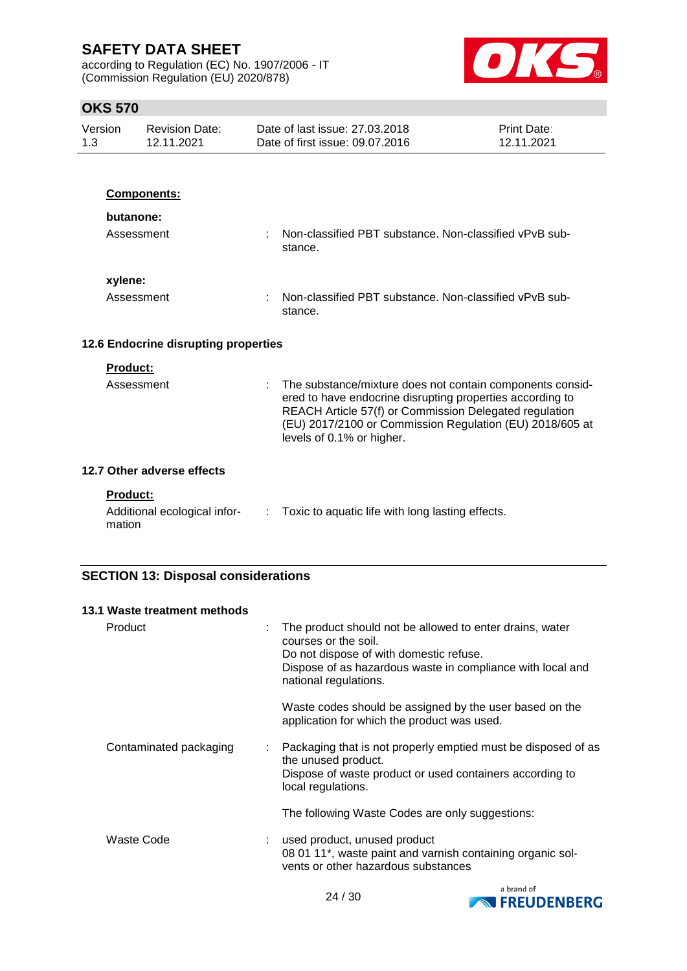according to Regulation (EC) No. 1907/2006 - IT (Commission Regulation (EU) 2020/878)



# **OKS 570**

| UNJ 370            |                                      |                                                                                                                                                                                                                                                                           |                           |
|--------------------|--------------------------------------|---------------------------------------------------------------------------------------------------------------------------------------------------------------------------------------------------------------------------------------------------------------------------|---------------------------|
| Version<br>1.3     | <b>Revision Date:</b><br>12.11.2021  | Date of last issue: 27,03,2018<br>Date of first issue: 09.07.2016                                                                                                                                                                                                         | Print Date:<br>12.11.2021 |
|                    |                                      |                                                                                                                                                                                                                                                                           |                           |
|                    | <b>Components:</b>                   |                                                                                                                                                                                                                                                                           |                           |
|                    | butanone:                            |                                                                                                                                                                                                                                                                           |                           |
|                    | Assessment                           | Non-classified PBT substance. Non-classified vPvB sub-<br>stance.                                                                                                                                                                                                         |                           |
| xylene:            |                                      |                                                                                                                                                                                                                                                                           |                           |
|                    | Assessment                           | Non-classified PBT substance. Non-classified vPvB sub-<br>stance.                                                                                                                                                                                                         |                           |
|                    | 12.6 Endocrine disrupting properties |                                                                                                                                                                                                                                                                           |                           |
| <b>Product:</b>    |                                      |                                                                                                                                                                                                                                                                           |                           |
|                    | Assessment                           | The substance/mixture does not contain components consid-<br>ered to have endocrine disrupting properties according to<br>REACH Article 57(f) or Commission Delegated regulation<br>(EU) 2017/2100 or Commission Regulation (EU) 2018/605 at<br>levels of 0.1% or higher. |                           |
|                    | 12.7 Other adverse effects           |                                                                                                                                                                                                                                                                           |                           |
| Product:<br>mation | Additional ecological infor-         | Toxic to aquatic life with long lasting effects.                                                                                                                                                                                                                          |                           |

# **SECTION 13: Disposal considerations**

|         | 13.1 Waste treatment methods |                                                                                                                                                                                                                    |
|---------|------------------------------|--------------------------------------------------------------------------------------------------------------------------------------------------------------------------------------------------------------------|
| Product |                              | The product should not be allowed to enter drains, water<br>courses or the soil.<br>Do not dispose of with domestic refuse.<br>Dispose of as hazardous waste in compliance with local and<br>national regulations. |
|         |                              | Waste codes should be assigned by the user based on the<br>application for which the product was used.                                                                                                             |
|         | Contaminated packaging<br>÷  | Packaging that is not properly emptied must be disposed of as<br>the unused product.<br>Dispose of waste product or used containers according to<br>local regulations.                                             |
|         |                              | The following Waste Codes are only suggestions:                                                                                                                                                                    |
|         | <b>Waste Code</b>            | used product, unused product<br>08 01 11*, waste paint and varnish containing organic sol-<br>vents or other hazardous substances                                                                                  |

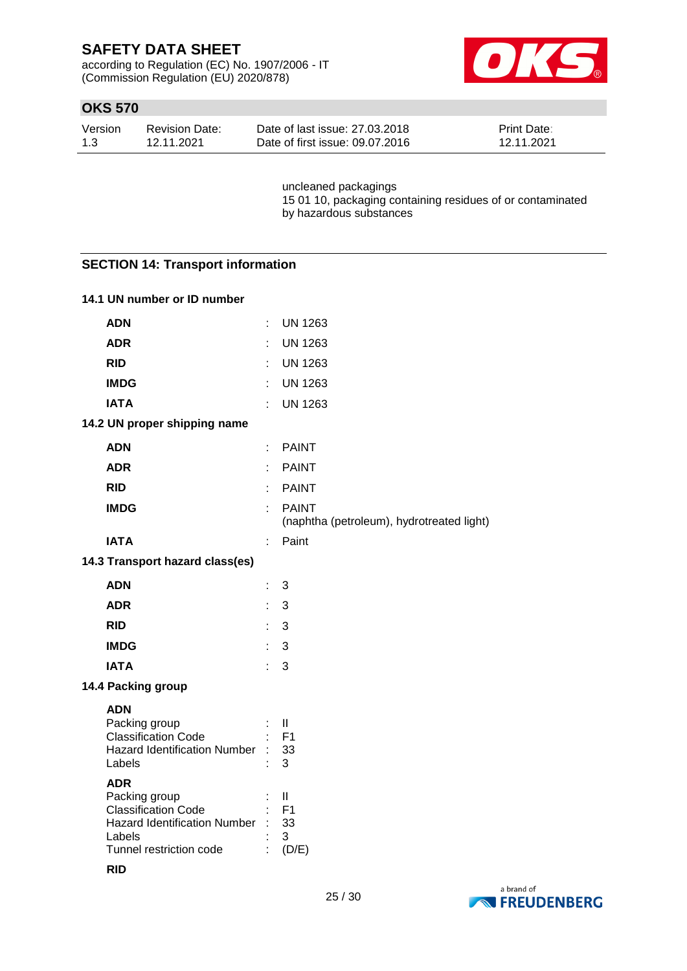according to Regulation (EC) No. 1907/2006 - IT (Commission Regulation (EU) 2020/878)



### **OKS 570**

| Version | <b>Revision Date:</b> | Date of last issue: 27,03,2018  | <b>Print Date:</b> |
|---------|-----------------------|---------------------------------|--------------------|
| 1.3     | 12.11.2021            | Date of first issue: 09.07.2016 | 12.11.2021         |

uncleaned packagings 15 01 10, packaging containing residues of or contaminated by hazardous substances

### **SECTION 14: Transport information**

### **14.1 UN number or ID number**

| <b>ADN</b>                                                                                                                            |    | <b>UN 1263</b>                                            |
|---------------------------------------------------------------------------------------------------------------------------------------|----|-----------------------------------------------------------|
| <b>ADR</b>                                                                                                                            |    | <b>UN 1263</b>                                            |
| <b>RID</b>                                                                                                                            |    | <b>UN 1263</b>                                            |
| <b>IMDG</b>                                                                                                                           |    | <b>UN 1263</b>                                            |
| <b>IATA</b>                                                                                                                           | ÷  | <b>UN 1263</b>                                            |
| 14.2 UN proper shipping name                                                                                                          |    |                                                           |
| <b>ADN</b>                                                                                                                            | ÷  | <b>PAINT</b>                                              |
| <b>ADR</b>                                                                                                                            | ÷  | <b>PAINT</b>                                              |
| <b>RID</b>                                                                                                                            |    | <b>PAINT</b>                                              |
| <b>IMDG</b>                                                                                                                           | ÷  | <b>PAINT</b><br>(naphtha (petroleum), hydrotreated light) |
| <b>IATA</b>                                                                                                                           | ÷  | Paint                                                     |
| 14.3 Transport hazard class(es)                                                                                                       |    |                                                           |
| <b>ADN</b>                                                                                                                            | t  | 3                                                         |
| <b>ADR</b>                                                                                                                            | t. | 3                                                         |
| <b>RID</b>                                                                                                                            | ÷  | 3                                                         |
| <b>IMDG</b>                                                                                                                           | ÷  | 3                                                         |
| <b>IATA</b>                                                                                                                           | ÷  | 3                                                         |
| 14.4 Packing group                                                                                                                    |    |                                                           |
| <b>ADN</b><br>Packing group<br><b>Classification Code</b><br><b>Hazard Identification Number</b><br>Labels                            |    | $\mathbf{  }$<br>F <sub>1</sub><br>33<br>3                |
| <b>ADR</b><br>Packing group<br><b>Classification Code</b><br><b>Hazard Identification Number</b><br>Labels<br>Tunnel restriction code |    | $\mathbf{I}$<br>F <sub>1</sub><br>33<br>3<br>(D/E)        |



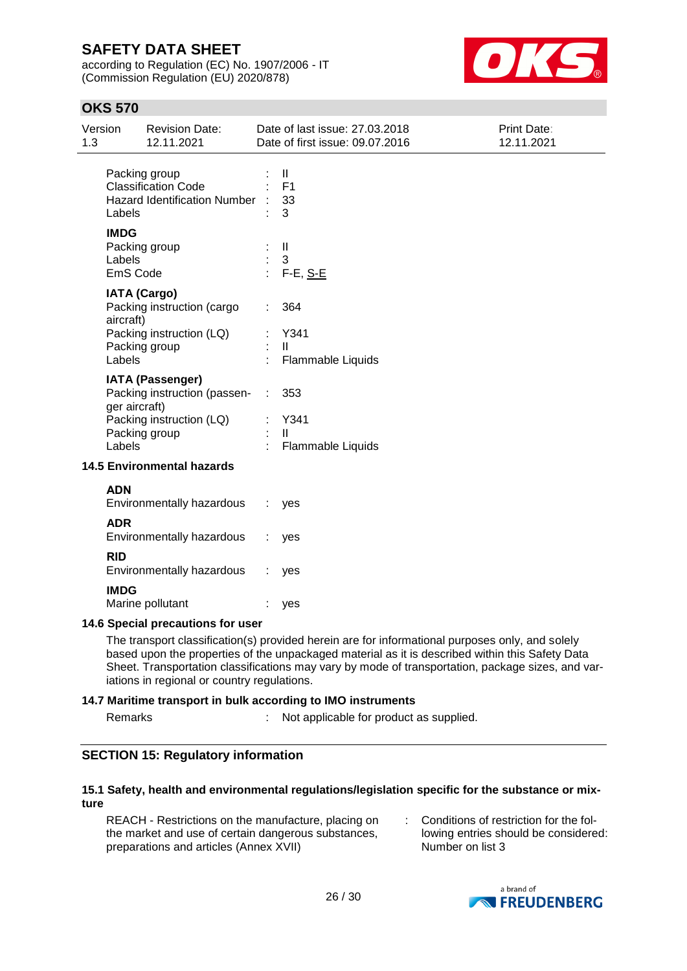according to Regulation (EC) No. 1907/2006 - IT (Commission Regulation (EU) 2020/878)



### **OKS 570**

| Version<br>1.3 | <b>Revision Date:</b><br>12.11.2021                                                                         |   | Date of last issue: 27.03.2018<br>Date of first issue: 09.07.2016 | Print Date:<br>12.11.2021 |
|----------------|-------------------------------------------------------------------------------------------------------------|---|-------------------------------------------------------------------|---------------------------|
|                | Packing group<br><b>Classification Code</b><br><b>Hazard Identification Number</b><br>Labels                |   | $\mathbf{II}$<br>F <sub>1</sub><br>33<br>3                        |                           |
|                | <b>IMDG</b><br>Packing group<br>Labels<br>EmS Code                                                          |   | Ш<br>3<br>$F-E, S-E$                                              |                           |
|                | <b>IATA (Cargo)</b><br>Packing instruction (cargo<br>aircraft)<br>Packing instruction (LQ)<br>Packing group |   | 364<br>Y341<br>$\mathbf{H}$                                       |                           |
|                | Labels<br><b>IATA (Passenger)</b>                                                                           |   | Flammable Liquids                                                 |                           |
|                | Packing instruction (passen-<br>ger aircraft)<br>Packing instruction (LQ)<br>Packing group<br>Labels        | ÷ | 353<br>Y341<br>$\mathbf{H}$<br>Flammable Liquids                  |                           |
|                | <b>14.5 Environmental hazards</b>                                                                           |   |                                                                   |                           |
|                | <b>ADN</b><br>Environmentally hazardous                                                                     |   | yes                                                               |                           |
|                | <b>ADR</b><br>Environmentally hazardous                                                                     |   | yes                                                               |                           |
|                | <b>RID</b><br>Environmentally hazardous                                                                     |   | yes                                                               |                           |
|                | <b>IMDG</b>                                                                                                 |   |                                                                   |                           |

#### **14.6 Special precautions for user**

Marine pollutant : yes

The transport classification(s) provided herein are for informational purposes only, and solely based upon the properties of the unpackaged material as it is described within this Safety Data Sheet. Transportation classifications may vary by mode of transportation, package sizes, and variations in regional or country regulations.

#### **14.7 Maritime transport in bulk according to IMO instruments**

Remarks : Not applicable for product as supplied.

### **SECTION 15: Regulatory information**

#### **15.1 Safety, health and environmental regulations/legislation specific for the substance or mixture**

REACH - Restrictions on the manufacture, placing on the market and use of certain dangerous substances, preparations and articles (Annex XVII)

: Conditions of restriction for the following entries should be considered: Number on list 3

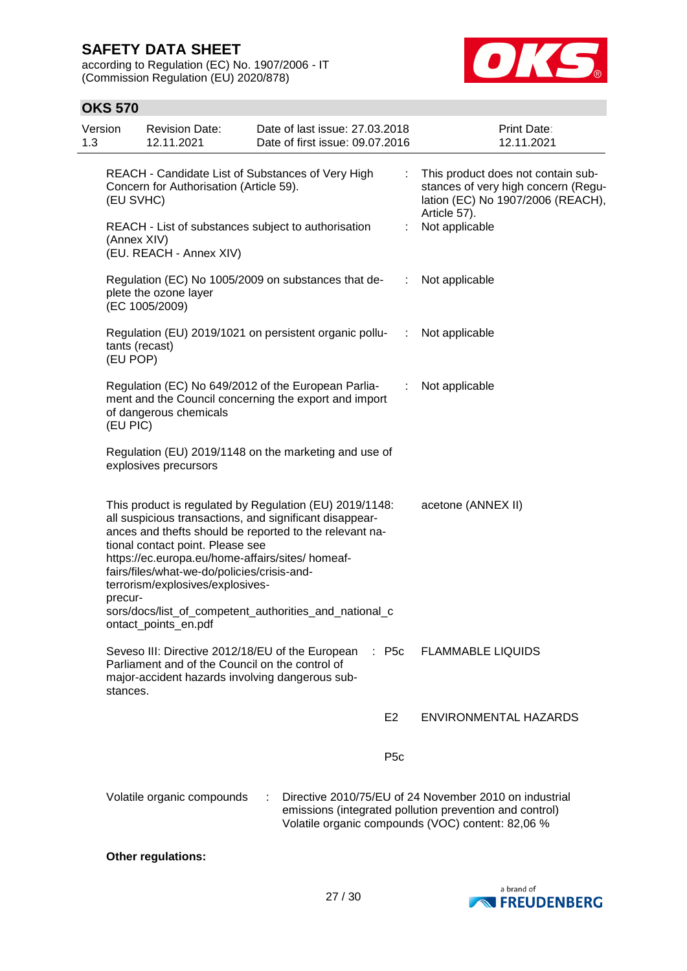according to Regulation (EC) No. 1907/2006 - IT (Commission Regulation (EU) 2020/878)



### **OKS 570**

| Version<br>1.3 | <b>Revision Date:</b><br>12.11.2021                                                                                                                                                                        | Date of last issue: 27.03.2018<br>Date of first issue: 09.07.2016                                                                                                                                                                       |                              | Print Date:<br>12.11.2021                                                                                      |
|----------------|------------------------------------------------------------------------------------------------------------------------------------------------------------------------------------------------------------|-----------------------------------------------------------------------------------------------------------------------------------------------------------------------------------------------------------------------------------------|------------------------------|----------------------------------------------------------------------------------------------------------------|
|                | Concern for Authorisation (Article 59).<br>(EU SVHC)                                                                                                                                                       | REACH - Candidate List of Substances of Very High                                                                                                                                                                                       | Article 57).                 | This product does not contain sub-<br>stances of very high concern (Regu-<br>lation (EC) No 1907/2006 (REACH), |
|                | (Annex XIV)<br>(EU. REACH - Annex XIV)                                                                                                                                                                     | REACH - List of substances subject to authorisation                                                                                                                                                                                     | Not applicable               |                                                                                                                |
|                | plete the ozone layer<br>(EC 1005/2009)                                                                                                                                                                    | Regulation (EC) No 1005/2009 on substances that de-                                                                                                                                                                                     | Not applicable<br>$\sim 100$ |                                                                                                                |
|                | tants (recast)<br>(EU POP)                                                                                                                                                                                 | Regulation (EU) 2019/1021 on persistent organic pollu-                                                                                                                                                                                  | Not applicable<br>$\sim 100$ |                                                                                                                |
|                | of dangerous chemicals<br>(EU PIC)                                                                                                                                                                         | Regulation (EC) No 649/2012 of the European Parlia-<br>ment and the Council concerning the export and import                                                                                                                            | Not applicable<br>÷          |                                                                                                                |
|                | explosives precursors                                                                                                                                                                                      | Regulation (EU) 2019/1148 on the marketing and use of                                                                                                                                                                                   |                              |                                                                                                                |
|                | tional contact point. Please see<br>https://ec.europa.eu/home-affairs/sites/ homeaf-<br>fairs/files/what-we-do/policies/crisis-and-<br>terrorism/explosives/explosives-<br>precur-<br>ontact_points_en.pdf | This product is regulated by Regulation (EU) 2019/1148:<br>all suspicious transactions, and significant disappear-<br>ances and thefts should be reported to the relevant na-<br>sors/docs/list_of_competent_authorities_and_national_c | acetone (ANNEX II)           |                                                                                                                |
|                | Seveso III: Directive 2012/18/EU of the European<br>Parliament and of the Council on the control of<br>major-accident hazards involving dangerous sub-<br>stances.                                         | $:$ P <sub>5c</sub>                                                                                                                                                                                                                     | <b>FLAMMABLE LIQUIDS</b>     |                                                                                                                |
|                |                                                                                                                                                                                                            | E <sub>2</sub>                                                                                                                                                                                                                          |                              | ENVIRONMENTAL HAZARDS                                                                                          |
|                |                                                                                                                                                                                                            | P <sub>5</sub> c                                                                                                                                                                                                                        |                              |                                                                                                                |
|                | Volatile organic compounds                                                                                                                                                                                 | Directive 2010/75/EU of 24 November 2010 on industrial<br>emissions (integrated pollution prevention and control)<br>Volatile organic compounds (VOC) content: 82,06 %                                                                  |                              |                                                                                                                |

#### **Other regulations:**

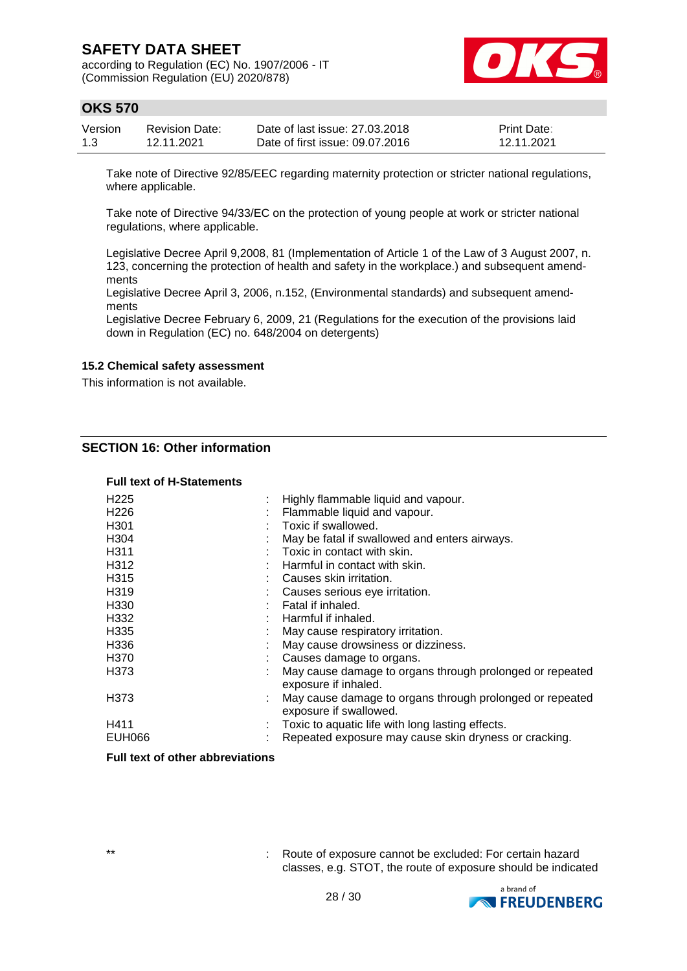according to Regulation (EC) No. 1907/2006 - IT (Commission Regulation (EU) 2020/878)



### **OKS 570**

| Version | <b>Revision Date:</b> | Date of last issue: 27,03,2018  | <b>Print Date:</b> |
|---------|-----------------------|---------------------------------|--------------------|
| 1.3     | 12.11.2021            | Date of first issue: 09.07.2016 | 12.11.2021         |

Take note of Directive 92/85/EEC regarding maternity protection or stricter national regulations, where applicable.

Take note of Directive 94/33/EC on the protection of young people at work or stricter national regulations, where applicable.

Legislative Decree April 9,2008, 81 (Implementation of Article 1 of the Law of 3 August 2007, n. 123, concerning the protection of health and safety in the workplace.) and subsequent amendments

Legislative Decree April 3, 2006, n.152, (Environmental standards) and subsequent amendments

Legislative Decree February 6, 2009, 21 (Regulations for the execution of the provisions laid down in Regulation (EC) no. 648/2004 on detergents)

#### **15.2 Chemical safety assessment**

This information is not available.

### **SECTION 16: Other information**

#### **Full text of H-Statements**

| H <sub>225</sub>  | Highly flammable liquid and vapour.                                                |
|-------------------|------------------------------------------------------------------------------------|
| H <sub>226</sub>  | Flammable liquid and vapour.                                                       |
| H <sub>301</sub>  | Toxic if swallowed.                                                                |
| H <sub>304</sub>  | May be fatal if swallowed and enters airways.                                      |
| H <sub>3</sub> 11 | Toxic in contact with skin.                                                        |
| H <sub>3</sub> 12 | Harmful in contact with skin.                                                      |
| H <sub>315</sub>  | Causes skin irritation.                                                            |
| H <sub>319</sub>  | Causes serious eye irritation.                                                     |
| H <sub>330</sub>  | Fatal if inhaled.                                                                  |
| H332              | Harmful if inhaled.                                                                |
| H <sub>335</sub>  | May cause respiratory irritation.                                                  |
| H <sub>336</sub>  | May cause drowsiness or dizziness.                                                 |
| H <sub>370</sub>  | Causes damage to organs.                                                           |
| H373              | May cause damage to organs through prolonged or repeated<br>exposure if inhaled.   |
| H373              | May cause damage to organs through prolonged or repeated<br>exposure if swallowed. |
| H411              | Toxic to aquatic life with long lasting effects.                                   |
| <b>EUH066</b>     | Repeated exposure may cause skin dryness or cracking.                              |

#### **Full text of other abbreviations**

\*\* : Route of exposure cannot be excluded: For certain hazard classes, e.g. STOT, the route of exposure should be indicated

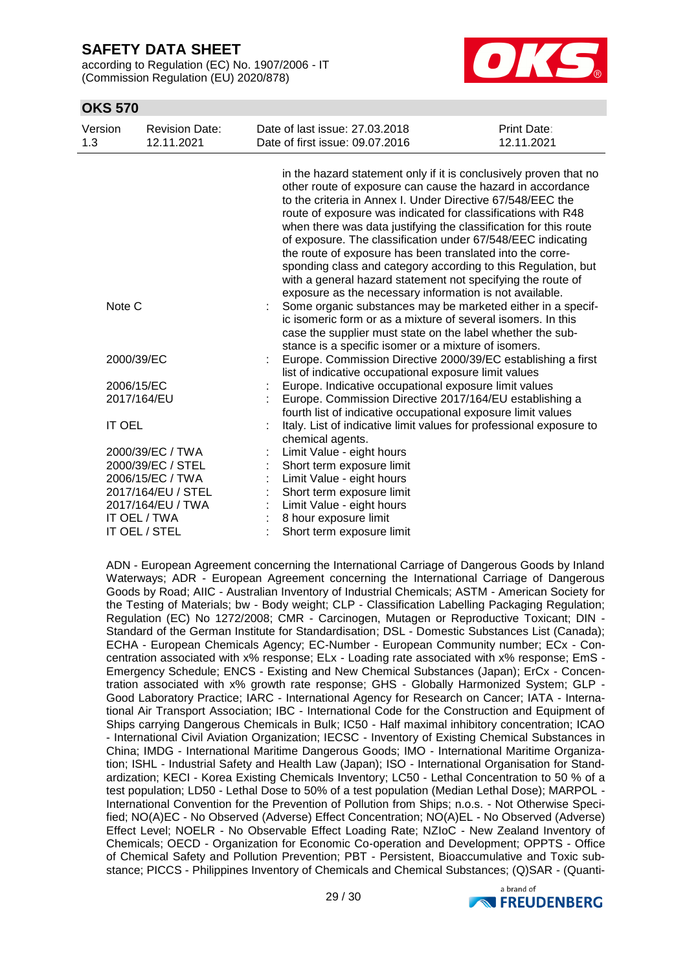according to Regulation (EC) No. 1907/2006 - IT (Commission Regulation (EU) 2020/878)



### **OKS 570**

| Version<br>1.3 | <b>Revision Date:</b><br>12.11.2021 | Date of last issue: 27.03.2018<br>Date of first issue: 09.07.2016                                                                                                                                                                                                                                                                                                                                                                                                                                                                                                                                                                                        | <b>Print Date:</b><br>12.11.2021 |
|----------------|-------------------------------------|----------------------------------------------------------------------------------------------------------------------------------------------------------------------------------------------------------------------------------------------------------------------------------------------------------------------------------------------------------------------------------------------------------------------------------------------------------------------------------------------------------------------------------------------------------------------------------------------------------------------------------------------------------|----------------------------------|
|                |                                     | in the hazard statement only if it is conclusively proven that no<br>other route of exposure can cause the hazard in accordance<br>to the criteria in Annex I. Under Directive 67/548/EEC the<br>route of exposure was indicated for classifications with R48<br>when there was data justifying the classification for this route<br>of exposure. The classification under 67/548/EEC indicating<br>the route of exposure has been translated into the corre-<br>sponding class and category according to this Regulation, but<br>with a general hazard statement not specifying the route of<br>exposure as the necessary information is not available. |                                  |
| Note C         |                                     | Some organic substances may be marketed either in a specif-<br>ic isomeric form or as a mixture of several isomers. In this<br>case the supplier must state on the label whether the sub-<br>stance is a specific isomer or a mixture of isomers.                                                                                                                                                                                                                                                                                                                                                                                                        |                                  |
| 2000/39/EC     |                                     | Europe. Commission Directive 2000/39/EC establishing a first<br>list of indicative occupational exposure limit values                                                                                                                                                                                                                                                                                                                                                                                                                                                                                                                                    |                                  |
| 2006/15/EC     |                                     | Europe. Indicative occupational exposure limit values                                                                                                                                                                                                                                                                                                                                                                                                                                                                                                                                                                                                    |                                  |
| 2017/164/EU    |                                     | Europe. Commission Directive 2017/164/EU establishing a<br>fourth list of indicative occupational exposure limit values                                                                                                                                                                                                                                                                                                                                                                                                                                                                                                                                  |                                  |
| <b>IT OEL</b>  |                                     | Italy. List of indicative limit values for professional exposure to<br>chemical agents.                                                                                                                                                                                                                                                                                                                                                                                                                                                                                                                                                                  |                                  |
|                | 2000/39/EC / TWA                    | Limit Value - eight hours                                                                                                                                                                                                                                                                                                                                                                                                                                                                                                                                                                                                                                |                                  |
|                | 2000/39/EC / STEL                   | Short term exposure limit                                                                                                                                                                                                                                                                                                                                                                                                                                                                                                                                                                                                                                |                                  |
|                | 2006/15/EC / TWA                    | Limit Value - eight hours                                                                                                                                                                                                                                                                                                                                                                                                                                                                                                                                                                                                                                |                                  |
|                | 2017/164/EU / STEL                  | Short term exposure limit                                                                                                                                                                                                                                                                                                                                                                                                                                                                                                                                                                                                                                |                                  |
|                | 2017/164/EU / TWA                   | Limit Value - eight hours                                                                                                                                                                                                                                                                                                                                                                                                                                                                                                                                                                                                                                |                                  |
|                | IT OEL / TWA<br>IT OEL / STEL       | 8 hour exposure limit<br>Short term exposure limit                                                                                                                                                                                                                                                                                                                                                                                                                                                                                                                                                                                                       |                                  |

ADN - European Agreement concerning the International Carriage of Dangerous Goods by Inland Waterways; ADR - European Agreement concerning the International Carriage of Dangerous Goods by Road; AIIC - Australian Inventory of Industrial Chemicals; ASTM - American Society for the Testing of Materials; bw - Body weight; CLP - Classification Labelling Packaging Regulation; Regulation (EC) No 1272/2008; CMR - Carcinogen, Mutagen or Reproductive Toxicant; DIN - Standard of the German Institute for Standardisation; DSL - Domestic Substances List (Canada); ECHA - European Chemicals Agency; EC-Number - European Community number; ECx - Concentration associated with x% response; ELx - Loading rate associated with x% response; EmS - Emergency Schedule; ENCS - Existing and New Chemical Substances (Japan); ErCx - Concentration associated with x% growth rate response; GHS - Globally Harmonized System; GLP - Good Laboratory Practice; IARC - International Agency for Research on Cancer; IATA - International Air Transport Association; IBC - International Code for the Construction and Equipment of Ships carrying Dangerous Chemicals in Bulk; IC50 - Half maximal inhibitory concentration; ICAO - International Civil Aviation Organization; IECSC - Inventory of Existing Chemical Substances in China; IMDG - International Maritime Dangerous Goods; IMO - International Maritime Organization; ISHL - Industrial Safety and Health Law (Japan); ISO - International Organisation for Standardization; KECI - Korea Existing Chemicals Inventory; LC50 - Lethal Concentration to 50 % of a test population; LD50 - Lethal Dose to 50% of a test population (Median Lethal Dose); MARPOL - International Convention for the Prevention of Pollution from Ships; n.o.s. - Not Otherwise Specified; NO(A)EC - No Observed (Adverse) Effect Concentration; NO(A)EL - No Observed (Adverse) Effect Level; NOELR - No Observable Effect Loading Rate; NZIoC - New Zealand Inventory of Chemicals; OECD - Organization for Economic Co-operation and Development; OPPTS - Office of Chemical Safety and Pollution Prevention; PBT - Persistent, Bioaccumulative and Toxic substance; PICCS - Philippines Inventory of Chemicals and Chemical Substances; (Q)SAR - (Quanti-